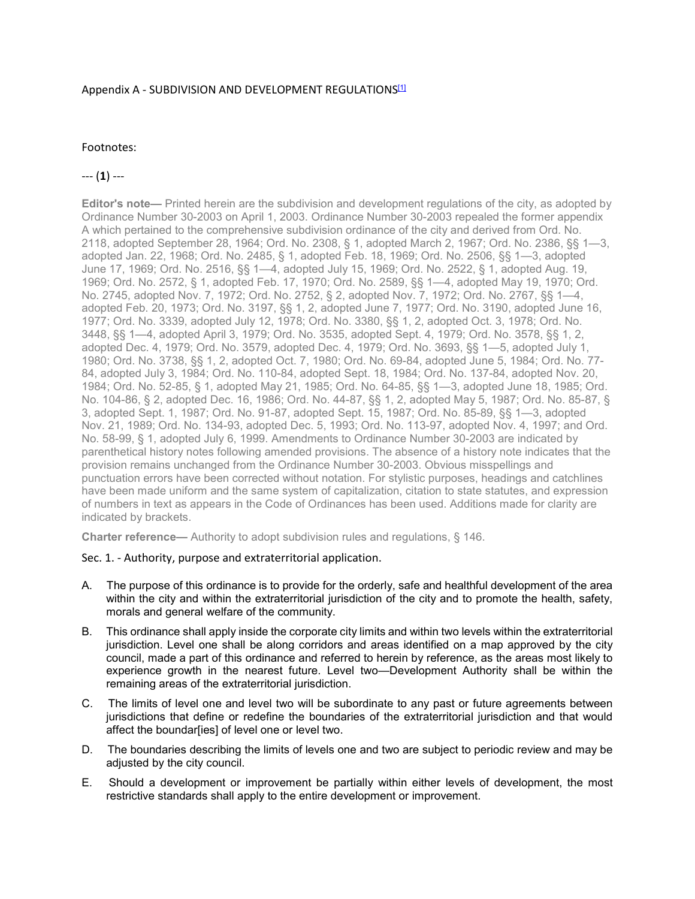## Appendix A - SUBDIVISION AND DEVELOPMENT REGULATIONS<sup>[1]</sup>

## Footnotes:

# --- (**1**) ---

**Editor's note—** Printed herein are the subdivision and development regulations of the city, as adopted by Ordinance Number 30-2003 on April 1, 2003. Ordinance Number 30-2003 repealed the former appendix A which pertained to the comprehensive subdivision ordinance of the city and derived from Ord. No. 2118, adopted September 28, 1964; Ord. No. 2308, § 1, adopted March 2, 1967; Ord. No. 2386, §§ 1—3, adopted Jan. 22, 1968; Ord. No. 2485, § 1, adopted Feb. 18, 1969; Ord. No. 2506, §§ 1—3, adopted June 17, 1969; Ord. No. 2516, §§ 1—4, adopted July 15, 1969; Ord. No. 2522, § 1, adopted Aug. 19, 1969; Ord. No. 2572, § 1, adopted Feb. 17, 1970; Ord. No. 2589, §§ 1—4, adopted May 19, 1970; Ord. No. 2745, adopted Nov. 7, 1972; Ord. No. 2752, § 2, adopted Nov. 7, 1972; Ord. No. 2767, §§ 1—4, adopted Feb. 20, 1973; Ord. No. 3197, §§ 1, 2, adopted June 7, 1977; Ord. No. 3190, adopted June 16, 1977; Ord. No. 3339, adopted July 12, 1978; Ord. No. 3380, §§ 1, 2, adopted Oct. 3, 1978; Ord. No. 3448, §§ 1—4, adopted April 3, 1979; Ord. No. 3535, adopted Sept. 4, 1979; Ord. No. 3578, §§ 1, 2, adopted Dec. 4, 1979; Ord. No. 3579, adopted Dec. 4, 1979; Ord. No. 3693, §§ 1—5, adopted July 1, 1980; Ord. No. 3738, §§ 1, 2, adopted Oct. 7, 1980; Ord. No. 69-84, adopted June 5, 1984; Ord. No. 77- 84, adopted July 3, 1984; Ord. No. 110-84, adopted Sept. 18, 1984; Ord. No. 137-84, adopted Nov. 20, 1984; Ord. No. 52-85, § 1, adopted May 21, 1985; Ord. No. 64-85, §§ 1—3, adopted June 18, 1985; Ord. No. 104-86, § 2, adopted Dec. 16, 1986; Ord. No. 44-87, §§ 1, 2, adopted May 5, 1987; Ord. No. 85-87, § 3, adopted Sept. 1, 1987; Ord. No. 91-87, adopted Sept. 15, 1987; Ord. No. 85-89, §§ 1—3, adopted Nov. 21, 1989; Ord. No. 134-93, adopted Dec. 5, 1993; Ord. No. 113-97, adopted Nov. 4, 1997; and Ord. No. 58-99, § 1, adopted July 6, 1999. Amendments to Ordinance Number 30-2003 are indicated by parenthetical history notes following amended provisions. The absence of a history note indicates that the provision remains unchanged from the Ordinance Number 30-2003. Obvious misspellings and punctuation errors have been corrected without notation. For stylistic purposes, headings and catchlines have been made uniform and the same system of capitalization, citation to state statutes, and expression of numbers in text as appears in the Code of Ordinances has been used. Additions made for clarity are indicated by brackets.

**Charter reference—** Authority to adopt subdivision rules and regulations, § 146.

### Sec. 1. - Authority, purpose and extraterritorial application.

- A. The purpose of this ordinance is to provide for the orderly, safe and healthful development of the area within the city and within the extraterritorial jurisdiction of the city and to promote the health, safety, morals and general welfare of the community.
- B. This ordinance shall apply inside the corporate city limits and within two levels within the extraterritorial jurisdiction. Level one shall be along corridors and areas identified on a map approved by the city council, made a part of this ordinance and referred to herein by reference, as the areas most likely to experience growth in the nearest future. Level two—Development Authority shall be within the remaining areas of the extraterritorial jurisdiction.
- C. The limits of level one and level two will be subordinate to any past or future agreements between jurisdictions that define or redefine the boundaries of the extraterritorial jurisdiction and that would affect the boundar[ies] of level one or level two.
- D. The boundaries describing the limits of levels one and two are subject to periodic review and may be adjusted by the city council.
- E. Should a development or improvement be partially within either levels of development, the most restrictive standards shall apply to the entire development or improvement.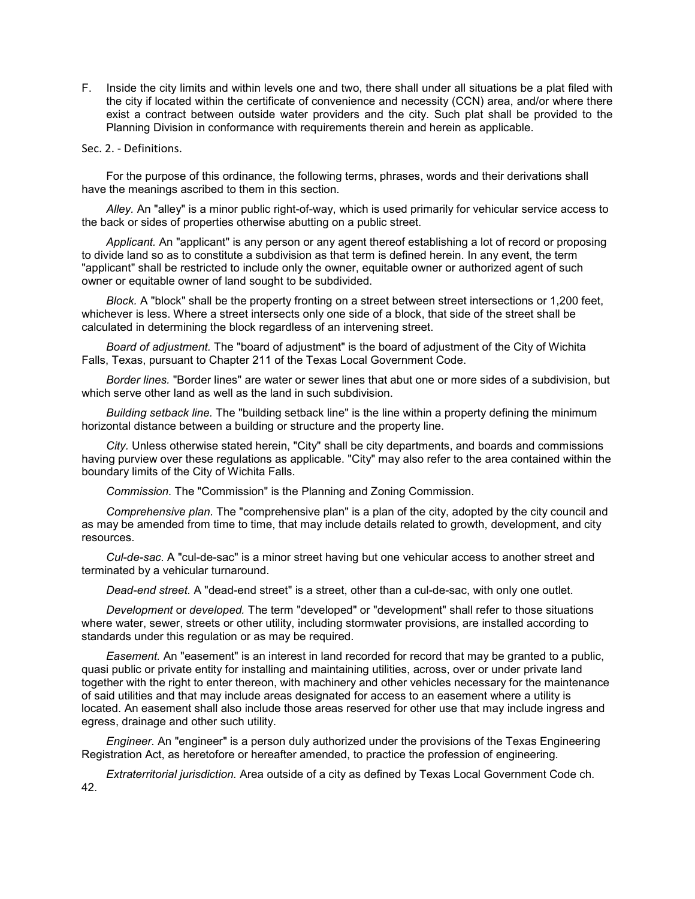F. Inside the city limits and within levels one and two, there shall under all situations be a plat filed with the city if located within the certificate of convenience and necessity (CCN) area, and/or where there exist a contract between outside water providers and the city. Such plat shall be provided to the Planning Division in conformance with requirements therein and herein as applicable.

Sec. 2. - Definitions.

For the purpose of this ordinance, the following terms, phrases, words and their derivations shall have the meanings ascribed to them in this section.

*Alley.* An "alley" is a minor public right-of-way, which is used primarily for vehicular service access to the back or sides of properties otherwise abutting on a public street.

*Applicant.* An "applicant" is any person or any agent thereof establishing a lot of record or proposing to divide land so as to constitute a subdivision as that term is defined herein. In any event, the term "applicant" shall be restricted to include only the owner, equitable owner or authorized agent of such owner or equitable owner of land sought to be subdivided.

*Block.* A "block" shall be the property fronting on a street between street intersections or 1,200 feet, whichever is less. Where a street intersects only one side of a block, that side of the street shall be calculated in determining the block regardless of an intervening street.

*Board of adjustment.* The "board of adjustment" is the board of adjustment of the City of Wichita Falls, Texas, pursuant to Chapter 211 of the Texas Local Government Code.

*Border lines.* "Border lines" are water or sewer lines that abut one or more sides of a subdivision, but which serve other land as well as the land in such subdivision.

*Building setback line.* The "building setback line" is the line within a property defining the minimum horizontal distance between a building or structure and the property line.

*City.* Unless otherwise stated herein, "City" shall be city departments, and boards and commissions having purview over these regulations as applicable. "City" may also refer to the area contained within the boundary limits of the City of Wichita Falls.

*Commission.* The "Commission" is the Planning and Zoning Commission.

*Comprehensive plan.* The "comprehensive plan" is a plan of the city, adopted by the city council and as may be amended from time to time, that may include details related to growth, development, and city resources.

*Cul-de-sac.* A "cul-de-sac" is a minor street having but one vehicular access to another street and terminated by a vehicular turnaround.

*Dead-end street.* A "dead-end street" is a street, other than a cul-de-sac, with only one outlet.

*Development* or *developed.* The term "developed" or "development" shall refer to those situations where water, sewer, streets or other utility, including stormwater provisions, are installed according to standards under this regulation or as may be required.

*Easement.* An "easement" is an interest in land recorded for record that may be granted to a public, quasi public or private entity for installing and maintaining utilities, across, over or under private land together with the right to enter thereon, with machinery and other vehicles necessary for the maintenance of said utilities and that may include areas designated for access to an easement where a utility is located. An easement shall also include those areas reserved for other use that may include ingress and egress, drainage and other such utility.

*Engineer.* An "engineer" is a person duly authorized under the provisions of the Texas Engineering Registration Act, as heretofore or hereafter amended, to practice the profession of engineering.

*Extraterritorial jurisdiction.* Area outside of a city as defined by Texas Local Government Code ch. 42.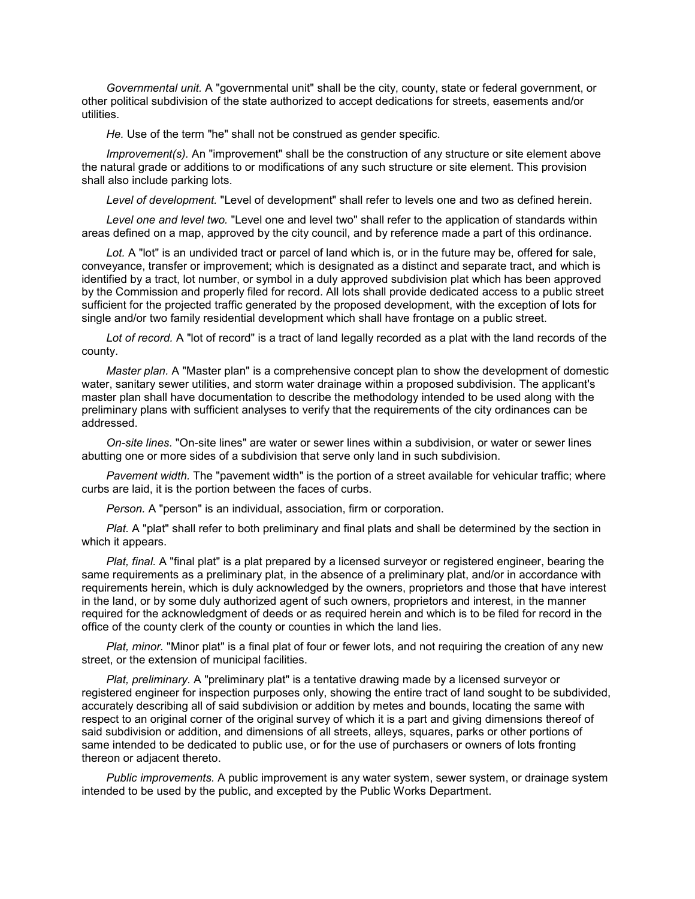*Governmental unit.* A "governmental unit" shall be the city, county, state or federal government, or other political subdivision of the state authorized to accept dedications for streets, easements and/or utilities.

*He.* Use of the term "he" shall not be construed as gender specific.

*Improvement(s).* An "improvement" shall be the construction of any structure or site element above the natural grade or additions to or modifications of any such structure or site element. This provision shall also include parking lots.

*Level of development.* "Level of development" shall refer to levels one and two as defined herein.

*Level one and level two.* "Level one and level two" shall refer to the application of standards within areas defined on a map, approved by the city council, and by reference made a part of this ordinance.

*Lot.* A "lot" is an undivided tract or parcel of land which is, or in the future may be, offered for sale, conveyance, transfer or improvement; which is designated as a distinct and separate tract, and which is identified by a tract, lot number, or symbol in a duly approved subdivision plat which has been approved by the Commission and properly filed for record. All lots shall provide dedicated access to a public street sufficient for the projected traffic generated by the proposed development, with the exception of lots for single and/or two family residential development which shall have frontage on a public street.

*Lot of record.* A "lot of record" is a tract of land legally recorded as a plat with the land records of the county.

*Master plan.* A "Master plan" is a comprehensive concept plan to show the development of domestic water, sanitary sewer utilities, and storm water drainage within a proposed subdivision. The applicant's master plan shall have documentation to describe the methodology intended to be used along with the preliminary plans with sufficient analyses to verify that the requirements of the city ordinances can be addressed.

*On-site lines.* "On-site lines" are water or sewer lines within a subdivision, or water or sewer lines abutting one or more sides of a subdivision that serve only land in such subdivision.

*Pavement width.* The "pavement width" is the portion of a street available for vehicular traffic; where curbs are laid, it is the portion between the faces of curbs.

*Person.* A "person" is an individual, association, firm or corporation.

*Plat.* A "plat" shall refer to both preliminary and final plats and shall be determined by the section in which it appears.

*Plat, final.* A "final plat" is a plat prepared by a licensed surveyor or registered engineer, bearing the same requirements as a preliminary plat, in the absence of a preliminary plat, and/or in accordance with requirements herein, which is duly acknowledged by the owners, proprietors and those that have interest in the land, or by some duly authorized agent of such owners, proprietors and interest, in the manner required for the acknowledgment of deeds or as required herein and which is to be filed for record in the office of the county clerk of the county or counties in which the land lies.

*Plat, minor.* "Minor plat" is a final plat of four or fewer lots, and not requiring the creation of any new street, or the extension of municipal facilities.

*Plat, preliminary.* A "preliminary plat" is a tentative drawing made by a licensed surveyor or registered engineer for inspection purposes only, showing the entire tract of land sought to be subdivided, accurately describing all of said subdivision or addition by metes and bounds, locating the same with respect to an original corner of the original survey of which it is a part and giving dimensions thereof of said subdivision or addition, and dimensions of all streets, alleys, squares, parks or other portions of same intended to be dedicated to public use, or for the use of purchasers or owners of lots fronting thereon or adjacent thereto.

*Public improvements.* A public improvement is any water system, sewer system, or drainage system intended to be used by the public, and excepted by the Public Works Department.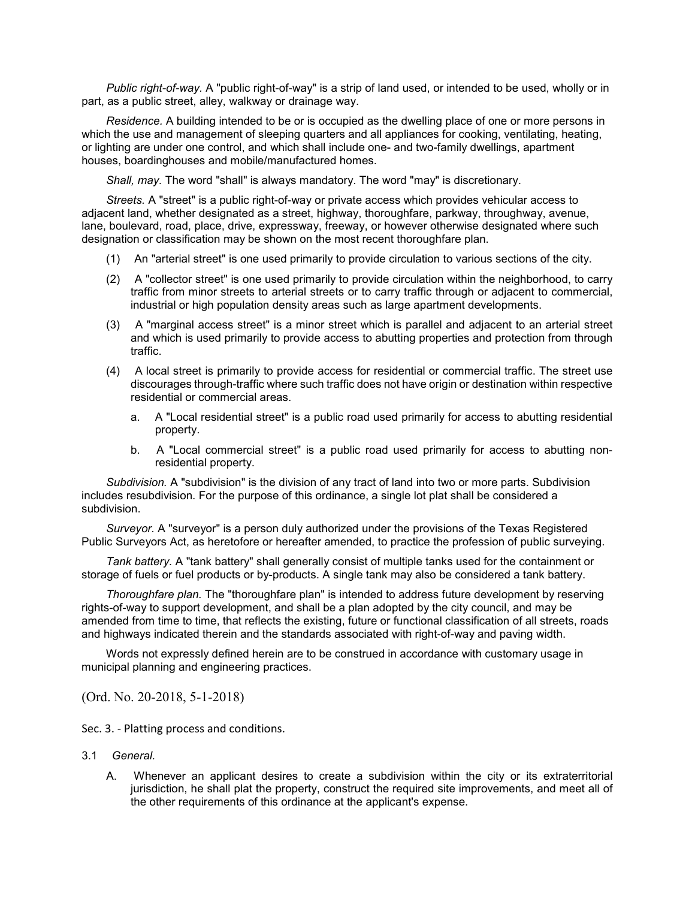*Public right-of-way.* A "public right-of-way" is a strip of land used, or intended to be used, wholly or in part, as a public street, alley, walkway or drainage way.

*Residence.* A building intended to be or is occupied as the dwelling place of one or more persons in which the use and management of sleeping quarters and all appliances for cooking, ventilating, heating, or lighting are under one control, and which shall include one- and two-family dwellings, apartment houses, boardinghouses and mobile/manufactured homes.

*Shall, may.* The word "shall" is always mandatory. The word "may" is discretionary.

*Streets.* A "street" is a public right-of-way or private access which provides vehicular access to adjacent land, whether designated as a street, highway, thoroughfare, parkway, throughway, avenue, lane, boulevard, road, place, drive, expressway, freeway, or however otherwise designated where such designation or classification may be shown on the most recent thoroughfare plan.

- (1) An "arterial street" is one used primarily to provide circulation to various sections of the city.
- (2) A "collector street" is one used primarily to provide circulation within the neighborhood, to carry traffic from minor streets to arterial streets or to carry traffic through or adjacent to commercial, industrial or high population density areas such as large apartment developments.
- (3) A "marginal access street" is a minor street which is parallel and adjacent to an arterial street and which is used primarily to provide access to abutting properties and protection from through traffic.
- (4) A local street is primarily to provide access for residential or commercial traffic. The street use discourages through-traffic where such traffic does not have origin or destination within respective residential or commercial areas.
	- a. A "Local residential street" is a public road used primarily for access to abutting residential property.
	- b. A "Local commercial street" is a public road used primarily for access to abutting nonresidential property.

*Subdivision.* A "subdivision" is the division of any tract of land into two or more parts. Subdivision includes resubdivision. For the purpose of this ordinance, a single lot plat shall be considered a subdivision.

*Surveyor.* A "surveyor" is a person duly authorized under the provisions of the Texas Registered Public Surveyors Act, as heretofore or hereafter amended, to practice the profession of public surveying.

*Tank battery.* A "tank battery" shall generally consist of multiple tanks used for the containment or storage of fuels or fuel products or by-products. A single tank may also be considered a tank battery.

*Thoroughfare plan.* The "thoroughfare plan" is intended to address future development by reserving rights-of-way to support development, and shall be a plan adopted by the city council, and may be amended from time to time, that reflects the existing, future or functional classification of all streets, roads and highways indicated therein and the standards associated with right-of-way and paving width.

Words not expressly defined herein are to be construed in accordance with customary usage in municipal planning and engineering practices.

(Ord. No. 20-2018, 5-1-2018)

Sec. 3. - Platting process and conditions.

- 3.1 *General.*
	- A. Whenever an applicant desires to create a subdivision within the city or its extraterritorial jurisdiction, he shall plat the property, construct the required site improvements, and meet all of the other requirements of this ordinance at the applicant's expense.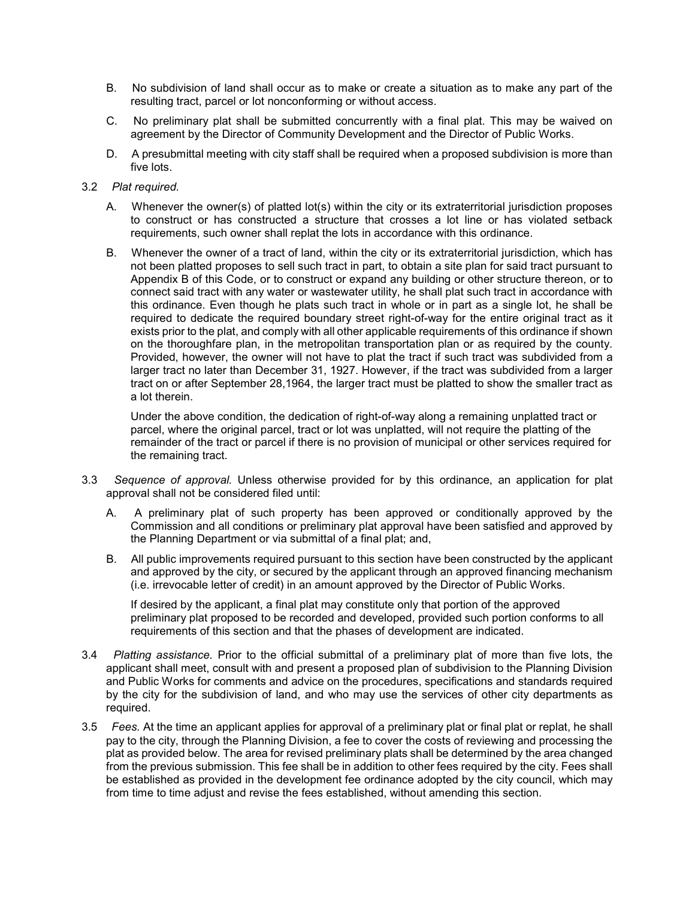- B. No subdivision of land shall occur as to make or create a situation as to make any part of the resulting tract, parcel or lot nonconforming or without access.
- C. No preliminary plat shall be submitted concurrently with a final plat. This may be waived on agreement by the Director of Community Development and the Director of Public Works.
- D. A presubmittal meeting with city staff shall be required when a proposed subdivision is more than five lots.
- 3.2 *Plat required.*
	- A. Whenever the owner(s) of platted lot(s) within the city or its extraterritorial jurisdiction proposes to construct or has constructed a structure that crosses a lot line or has violated setback requirements, such owner shall replat the lots in accordance with this ordinance.
	- B. Whenever the owner of a tract of land, within the city or its extraterritorial jurisdiction, which has not been platted proposes to sell such tract in part, to obtain a site plan for said tract pursuant to Appendix B of this Code, or to construct or expand any building or other structure thereon, or to connect said tract with any water or wastewater utility, he shall plat such tract in accordance with this ordinance. Even though he plats such tract in whole or in part as a single lot, he shall be required to dedicate the required boundary street right-of-way for the entire original tract as it exists prior to the plat, and comply with all other applicable requirements of this ordinance if shown on the thoroughfare plan, in the metropolitan transportation plan or as required by the county. Provided, however, the owner will not have to plat the tract if such tract was subdivided from a larger tract no later than December 31, 1927. However, if the tract was subdivided from a larger tract on or after September 28,1964, the larger tract must be platted to show the smaller tract as a lot therein.

Under the above condition, the dedication of right-of-way along a remaining unplatted tract or parcel, where the original parcel, tract or lot was unplatted, will not require the platting of the remainder of the tract or parcel if there is no provision of municipal or other services required for the remaining tract.

- 3.3 *Sequence of approval.* Unless otherwise provided for by this ordinance, an application for plat approval shall not be considered filed until:
	- A. A preliminary plat of such property has been approved or conditionally approved by the Commission and all conditions or preliminary plat approval have been satisfied and approved by the Planning Department or via submittal of a final plat; and,
	- B. All public improvements required pursuant to this section have been constructed by the applicant and approved by the city, or secured by the applicant through an approved financing mechanism (i.e. irrevocable letter of credit) in an amount approved by the Director of Public Works.

If desired by the applicant, a final plat may constitute only that portion of the approved preliminary plat proposed to be recorded and developed, provided such portion conforms to all requirements of this section and that the phases of development are indicated.

- 3.4 *Platting assistance.* Prior to the official submittal of a preliminary plat of more than five lots, the applicant shall meet, consult with and present a proposed plan of subdivision to the Planning Division and Public Works for comments and advice on the procedures, specifications and standards required by the city for the subdivision of land, and who may use the services of other city departments as required.
- 3.5 *Fees.* At the time an applicant applies for approval of a preliminary plat or final plat or replat, he shall pay to the city, through the Planning Division, a fee to cover the costs of reviewing and processing the plat as provided below. The area for revised preliminary plats shall be determined by the area changed from the previous submission. This fee shall be in addition to other fees required by the city. Fees shall be established as provided in the development fee ordinance adopted by the city council, which may from time to time adjust and revise the fees established, without amending this section.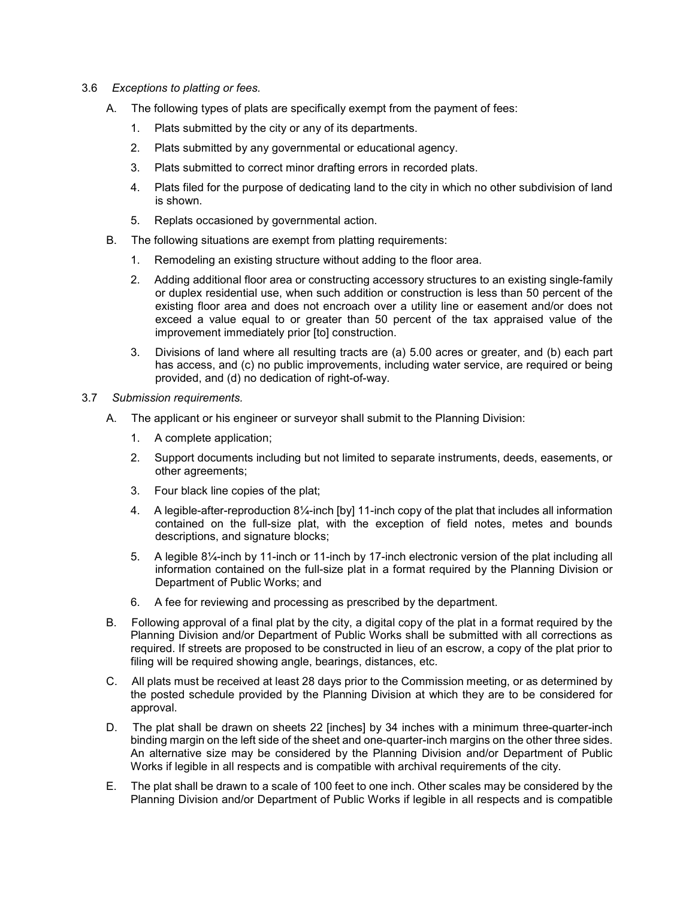- 3.6 *Exceptions to platting or fees.*
	- A. The following types of plats are specifically exempt from the payment of fees:
		- 1. Plats submitted by the city or any of its departments.
		- 2. Plats submitted by any governmental or educational agency.
		- 3. Plats submitted to correct minor drafting errors in recorded plats.
		- 4. Plats filed for the purpose of dedicating land to the city in which no other subdivision of land is shown.
		- 5. Replats occasioned by governmental action.
	- B. The following situations are exempt from platting requirements:
		- 1. Remodeling an existing structure without adding to the floor area.
		- 2. Adding additional floor area or constructing accessory structures to an existing single-family or duplex residential use, when such addition or construction is less than 50 percent of the existing floor area and does not encroach over a utility line or easement and/or does not exceed a value equal to or greater than 50 percent of the tax appraised value of the improvement immediately prior [to] construction.
		- 3. Divisions of land where all resulting tracts are (a) 5.00 acres or greater, and (b) each part has access, and (c) no public improvements, including water service, are required or being provided, and (d) no dedication of right-of-way.
- 3.7 *Submission requirements.*
	- A. The applicant or his engineer or surveyor shall submit to the Planning Division:
		- 1. A complete application;
		- 2. Support documents including but not limited to separate instruments, deeds, easements, or other agreements;
		- 3. Four black line copies of the plat;
		- 4. A legible-after-reproduction 8¼-inch [by] 11-inch copy of the plat that includes all information contained on the full-size plat, with the exception of field notes, metes and bounds descriptions, and signature blocks;
		- 5. A legible 8¼-inch by 11-inch or 11-inch by 17-inch electronic version of the plat including all information contained on the full-size plat in a format required by the Planning Division or Department of Public Works; and
		- 6. A fee for reviewing and processing as prescribed by the department.
	- B. Following approval of a final plat by the city, a digital copy of the plat in a format required by the Planning Division and/or Department of Public Works shall be submitted with all corrections as required. If streets are proposed to be constructed in lieu of an escrow, a copy of the plat prior to filing will be required showing angle, bearings, distances, etc.
	- C. All plats must be received at least 28 days prior to the Commission meeting, or as determined by the posted schedule provided by the Planning Division at which they are to be considered for approval.
	- D. The plat shall be drawn on sheets 22 [inches] by 34 inches with a minimum three-quarter-inch binding margin on the left side of the sheet and one-quarter-inch margins on the other three sides. An alternative size may be considered by the Planning Division and/or Department of Public Works if legible in all respects and is compatible with archival requirements of the city.
	- E. The plat shall be drawn to a scale of 100 feet to one inch. Other scales may be considered by the Planning Division and/or Department of Public Works if legible in all respects and is compatible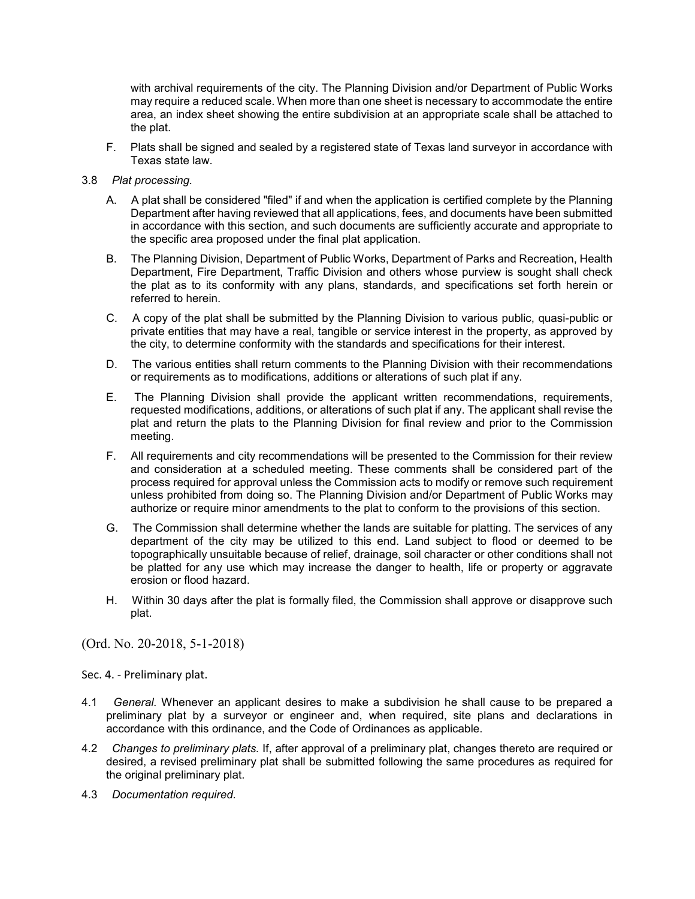with archival requirements of the city. The Planning Division and/or Department of Public Works may require a reduced scale. When more than one sheet is necessary to accommodate the entire area, an index sheet showing the entire subdivision at an appropriate scale shall be attached to the plat.

- F. Plats shall be signed and sealed by a registered state of Texas land surveyor in accordance with Texas state law.
- 3.8 *Plat processing.*
	- A. A plat shall be considered "filed" if and when the application is certified complete by the Planning Department after having reviewed that all applications, fees, and documents have been submitted in accordance with this section, and such documents are sufficiently accurate and appropriate to the specific area proposed under the final plat application.
	- B. The Planning Division, Department of Public Works, Department of Parks and Recreation, Health Department, Fire Department, Traffic Division and others whose purview is sought shall check the plat as to its conformity with any plans, standards, and specifications set forth herein or referred to herein.
	- C. A copy of the plat shall be submitted by the Planning Division to various public, quasi-public or private entities that may have a real, tangible or service interest in the property, as approved by the city, to determine conformity with the standards and specifications for their interest.
	- D. The various entities shall return comments to the Planning Division with their recommendations or requirements as to modifications, additions or alterations of such plat if any.
	- E. The Planning Division shall provide the applicant written recommendations, requirements, requested modifications, additions, or alterations of such plat if any. The applicant shall revise the plat and return the plats to the Planning Division for final review and prior to the Commission meeting.
	- F. All requirements and city recommendations will be presented to the Commission for their review and consideration at a scheduled meeting. These comments shall be considered part of the process required for approval unless the Commission acts to modify or remove such requirement unless prohibited from doing so. The Planning Division and/or Department of Public Works may authorize or require minor amendments to the plat to conform to the provisions of this section.
	- G. The Commission shall determine whether the lands are suitable for platting. The services of any department of the city may be utilized to this end. Land subject to flood or deemed to be topographically unsuitable because of relief, drainage, soil character or other conditions shall not be platted for any use which may increase the danger to health, life or property or aggravate erosion or flood hazard.
	- H. Within 30 days after the plat is formally filed, the Commission shall approve or disapprove such plat.

(Ord. No. 20-2018, 5-1-2018)

Sec. 4. - Preliminary plat.

- 4.1 *General.* Whenever an applicant desires to make a subdivision he shall cause to be prepared a preliminary plat by a surveyor or engineer and, when required, site plans and declarations in accordance with this ordinance, and the Code of Ordinances as applicable.
- 4.2 *Changes to preliminary plats.* If, after approval of a preliminary plat, changes thereto are required or desired, a revised preliminary plat shall be submitted following the same procedures as required for the original preliminary plat.
- 4.3 *Documentation required.*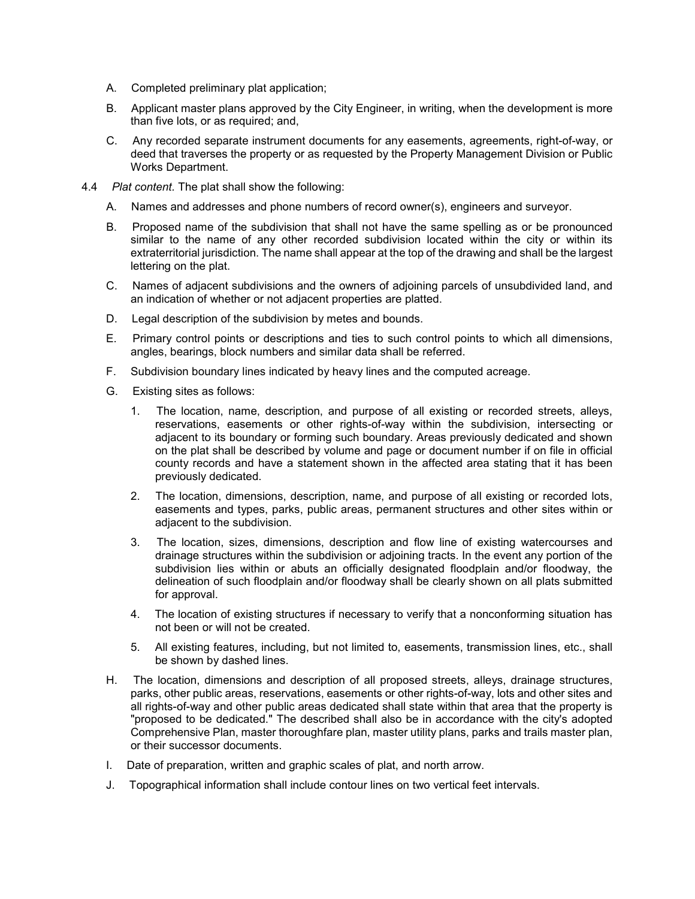- A. Completed preliminary plat application;
- B. Applicant master plans approved by the City Engineer, in writing, when the development is more than five lots, or as required; and,
- C. Any recorded separate instrument documents for any easements, agreements, right-of-way, or deed that traverses the property or as requested by the Property Management Division or Public Works Department.
- 4.4 *Plat content.* The plat shall show the following:
	- A. Names and addresses and phone numbers of record owner(s), engineers and surveyor.
	- B. Proposed name of the subdivision that shall not have the same spelling as or be pronounced similar to the name of any other recorded subdivision located within the city or within its extraterritorial jurisdiction. The name shall appear at the top of the drawing and shall be the largest lettering on the plat.
	- C. Names of adjacent subdivisions and the owners of adjoining parcels of unsubdivided land, and an indication of whether or not adjacent properties are platted.
	- D. Legal description of the subdivision by metes and bounds.
	- E. Primary control points or descriptions and ties to such control points to which all dimensions, angles, bearings, block numbers and similar data shall be referred.
	- F. Subdivision boundary lines indicated by heavy lines and the computed acreage.
	- G. Existing sites as follows:
		- 1. The location, name, description, and purpose of all existing or recorded streets, alleys, reservations, easements or other rights-of-way within the subdivision, intersecting or adjacent to its boundary or forming such boundary. Areas previously dedicated and shown on the plat shall be described by volume and page or document number if on file in official county records and have a statement shown in the affected area stating that it has been previously dedicated.
		- 2. The location, dimensions, description, name, and purpose of all existing or recorded lots, easements and types, parks, public areas, permanent structures and other sites within or adjacent to the subdivision.
		- 3. The location, sizes, dimensions, description and flow line of existing watercourses and drainage structures within the subdivision or adjoining tracts. In the event any portion of the subdivision lies within or abuts an officially designated floodplain and/or floodway, the delineation of such floodplain and/or floodway shall be clearly shown on all plats submitted for approval.
		- 4. The location of existing structures if necessary to verify that a nonconforming situation has not been or will not be created.
		- 5. All existing features, including, but not limited to, easements, transmission lines, etc., shall be shown by dashed lines.
	- H. The location, dimensions and description of all proposed streets, alleys, drainage structures, parks, other public areas, reservations, easements or other rights-of-way, lots and other sites and all rights-of-way and other public areas dedicated shall state within that area that the property is "proposed to be dedicated." The described shall also be in accordance with the city's adopted Comprehensive Plan, master thoroughfare plan, master utility plans, parks and trails master plan, or their successor documents.
	- I. Date of preparation, written and graphic scales of plat, and north arrow.
	- J. Topographical information shall include contour lines on two vertical feet intervals.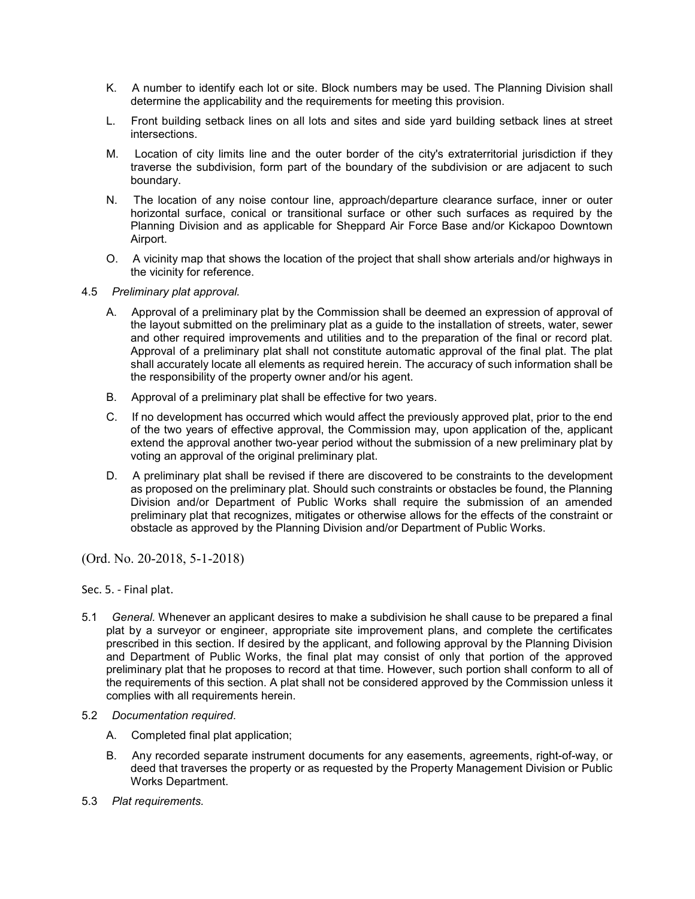- K. A number to identify each lot or site. Block numbers may be used. The Planning Division shall determine the applicability and the requirements for meeting this provision.
- L. Front building setback lines on all lots and sites and side yard building setback lines at street intersections.
- M. Location of city limits line and the outer border of the city's extraterritorial jurisdiction if they traverse the subdivision, form part of the boundary of the subdivision or are adjacent to such boundary.
- N. The location of any noise contour line, approach/departure clearance surface, inner or outer horizontal surface, conical or transitional surface or other such surfaces as required by the Planning Division and as applicable for Sheppard Air Force Base and/or Kickapoo Downtown Airport.
- O. A vicinity map that shows the location of the project that shall show arterials and/or highways in the vicinity for reference.

### 4.5 *Preliminary plat approval.*

- A. Approval of a preliminary plat by the Commission shall be deemed an expression of approval of the layout submitted on the preliminary plat as a guide to the installation of streets, water, sewer and other required improvements and utilities and to the preparation of the final or record plat. Approval of a preliminary plat shall not constitute automatic approval of the final plat. The plat shall accurately locate all elements as required herein. The accuracy of such information shall be the responsibility of the property owner and/or his agent.
- B. Approval of a preliminary plat shall be effective for two years.
- C. If no development has occurred which would affect the previously approved plat, prior to the end of the two years of effective approval, the Commission may, upon application of the, applicant extend the approval another two-year period without the submission of a new preliminary plat by voting an approval of the original preliminary plat.
- D. A preliminary plat shall be revised if there are discovered to be constraints to the development as proposed on the preliminary plat. Should such constraints or obstacles be found, the Planning Division and/or Department of Public Works shall require the submission of an amended preliminary plat that recognizes, mitigates or otherwise allows for the effects of the constraint or obstacle as approved by the Planning Division and/or Department of Public Works.

(Ord. No. 20-2018, 5-1-2018)

Sec. 5. - Final plat.

- 5.1 *General.* Whenever an applicant desires to make a subdivision he shall cause to be prepared a final plat by a surveyor or engineer, appropriate site improvement plans, and complete the certificates prescribed in this section. If desired by the applicant, and following approval by the Planning Division and Department of Public Works, the final plat may consist of only that portion of the approved preliminary plat that he proposes to record at that time. However, such portion shall conform to all of the requirements of this section. A plat shall not be considered approved by the Commission unless it complies with all requirements herein.
- 5.2 *Documentation required*.
	- A. Completed final plat application;
	- B. Any recorded separate instrument documents for any easements, agreements, right-of-way, or deed that traverses the property or as requested by the Property Management Division or Public Works Department.
- 5.3 *Plat requirements.*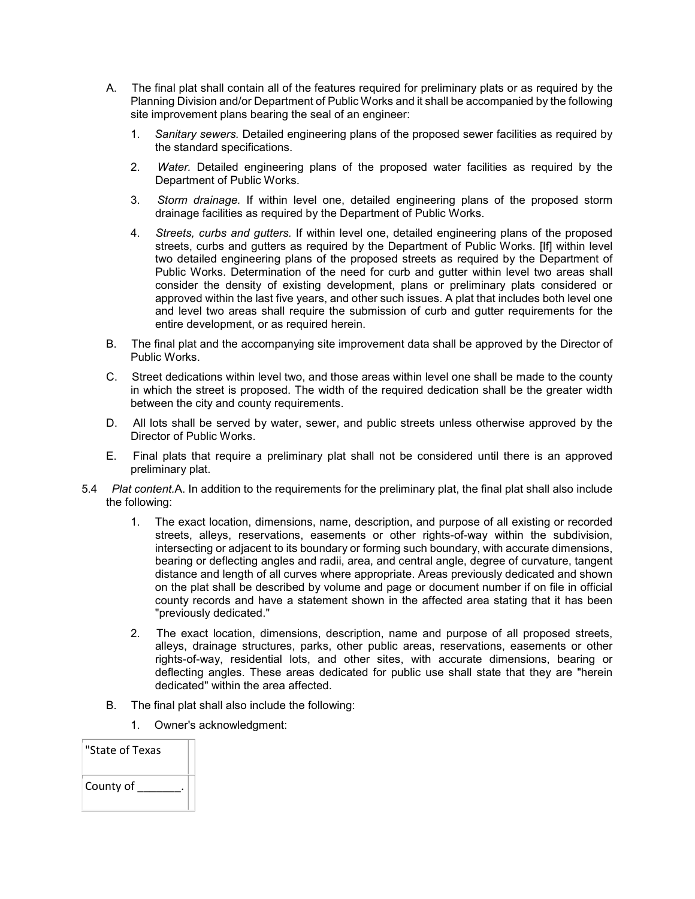- A. The final plat shall contain all of the features required for preliminary plats or as required by the Planning Division and/or Department of Public Works and it shall be accompanied by the following site improvement plans bearing the seal of an engineer:
	- 1. *Sanitary sewers.* Detailed engineering plans of the proposed sewer facilities as required by the standard specifications.
	- 2. *Water.* Detailed engineering plans of the proposed water facilities as required by the Department of Public Works.
	- 3. *Storm drainage.* If within level one, detailed engineering plans of the proposed storm drainage facilities as required by the Department of Public Works.
	- 4. *Streets, curbs and gutters.* If within level one, detailed engineering plans of the proposed streets, curbs and gutters as required by the Department of Public Works. [If] within level two detailed engineering plans of the proposed streets as required by the Department of Public Works. Determination of the need for curb and gutter within level two areas shall consider the density of existing development, plans or preliminary plats considered or approved within the last five years, and other such issues. A plat that includes both level one and level two areas shall require the submission of curb and gutter requirements for the entire development, or as required herein.
- B. The final plat and the accompanying site improvement data shall be approved by the Director of Public Works.
- C. Street dedications within level two, and those areas within level one shall be made to the county in which the street is proposed. The width of the required dedication shall be the greater width between the city and county requirements.
- D. All lots shall be served by water, sewer, and public streets unless otherwise approved by the Director of Public Works.
- E. Final plats that require a preliminary plat shall not be considered until there is an approved preliminary plat.
- 5.4 *Plat content.*A. In addition to the requirements for the preliminary plat, the final plat shall also include the following:
	- 1. The exact location, dimensions, name, description, and purpose of all existing or recorded streets, alleys, reservations, easements or other rights-of-way within the subdivision, intersecting or adjacent to its boundary or forming such boundary, with accurate dimensions, bearing or deflecting angles and radii, area, and central angle, degree of curvature, tangent distance and length of all curves where appropriate. Areas previously dedicated and shown on the plat shall be described by volume and page or document number if on file in official county records and have a statement shown in the affected area stating that it has been "previously dedicated."
	- 2. The exact location, dimensions, description, name and purpose of all proposed streets, alleys, drainage structures, parks, other public areas, reservations, easements or other rights-of-way, residential lots, and other sites, with accurate dimensions, bearing or deflecting angles. These areas dedicated for public use shall state that they are "herein dedicated" within the area affected.
	- B. The final plat shall also include the following:
		- 1. Owner's acknowledgment:

| "State of Texas |  |
|-----------------|--|
| County of       |  |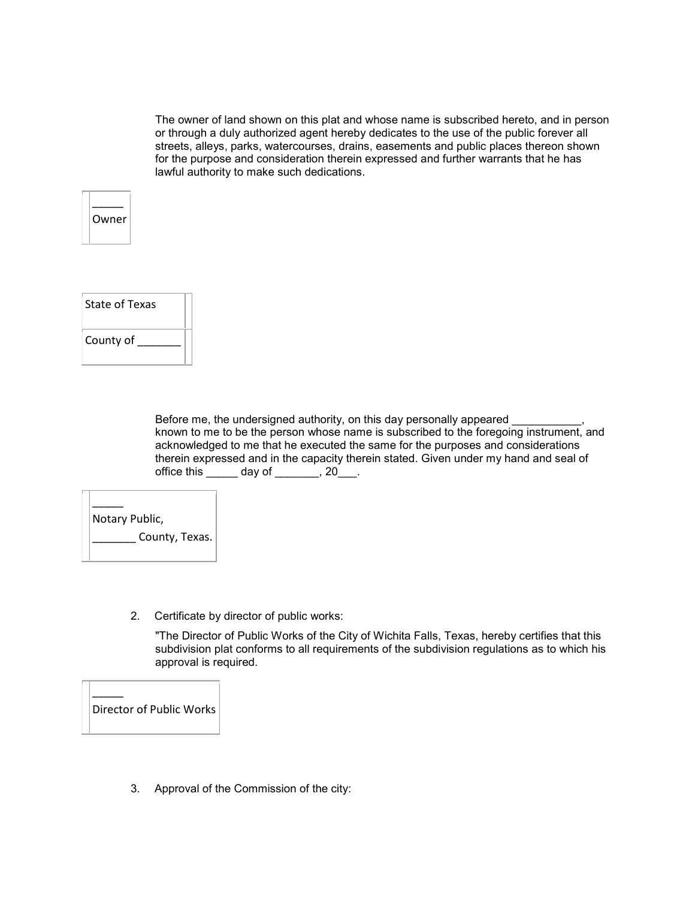The owner of land shown on this plat and whose name is subscribed hereto, and in person or through a duly authorized agent hereby dedicates to the use of the public forever all streets, alleys, parks, watercourses, drains, easements and public places thereon shown for the purpose and consideration therein expressed and further warrants that he has lawful authority to make such dedications.





Before me, the undersigned authority, on this day personally appeared known to me to be the person whose name is subscribed to the foregoing instrument, and acknowledged to me that he executed the same for the purposes and considerations therein expressed and in the capacity therein stated. Given under my hand and seal of office this  $\_\_\_\_$  day of  $\_\_\_\_\_$ , 20 $\_\_\_\$ .

| Notary Public, |
|----------------|
| County, Texas. |

2. Certificate by director of public works:

"The Director of Public Works of the City of Wichita Falls, Texas, hereby certifies that this subdivision plat conforms to all requirements of the subdivision regulations as to which his approval is required.

 $\overline{\phantom{a}}$ Director of Public Works

3. Approval of the Commission of the city: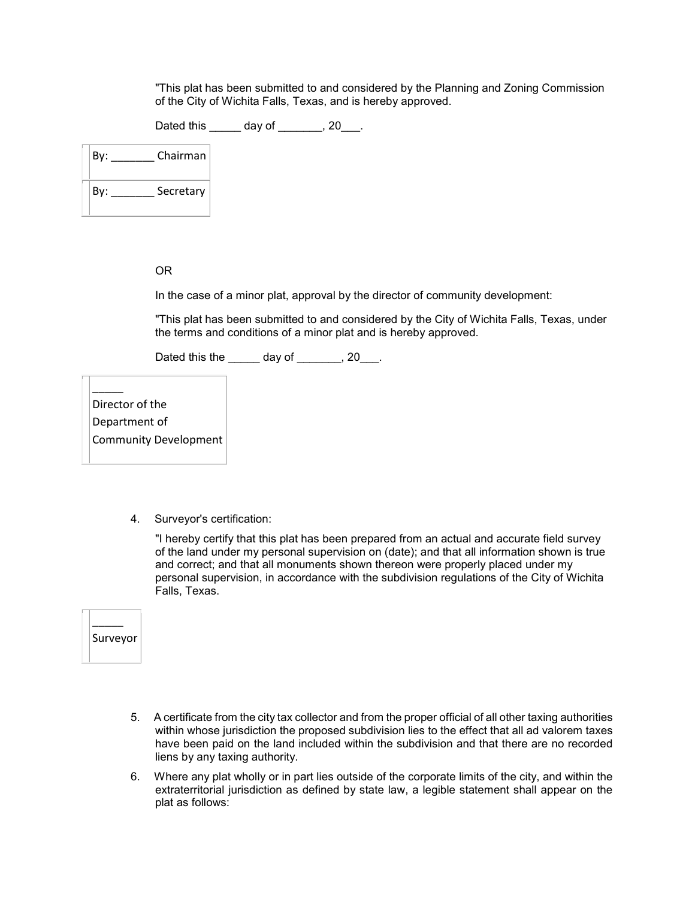"This plat has been submitted to and considered by the Planning and Zoning Commission of the City of Wichita Falls, Texas, and is hereby approved.

Dated this day of , 20 .

| Bv: | Chairman  |
|-----|-----------|
| Bv: | Secretary |

## OR

In the case of a minor plat, approval by the director of community development:

"This plat has been submitted to and considered by the City of Wichita Falls, Texas, under the terms and conditions of a minor plat and is hereby approved.

Dated this the day of \_\_\_\_\_, 20\_\_\_.

Director of the Department of

 $\overline{\phantom{a}}$ 

Community Development

4. Surveyor's certification:

"I hereby certify that this plat has been prepared from an actual and accurate field survey of the land under my personal supervision on (date); and that all information shown is true and correct; and that all monuments shown thereon were properly placed under my personal supervision, in accordance with the subdivision regulations of the City of Wichita Falls, Texas.

 $\overline{\phantom{a}}$ Surveyor

- 5. A certificate from the city tax collector and from the proper official of all other taxing authorities within whose jurisdiction the proposed subdivision lies to the effect that all ad valorem taxes have been paid on the land included within the subdivision and that there are no recorded liens by any taxing authority.
- 6. Where any plat wholly or in part lies outside of the corporate limits of the city, and within the extraterritorial jurisdiction as defined by state law, a legible statement shall appear on the plat as follows: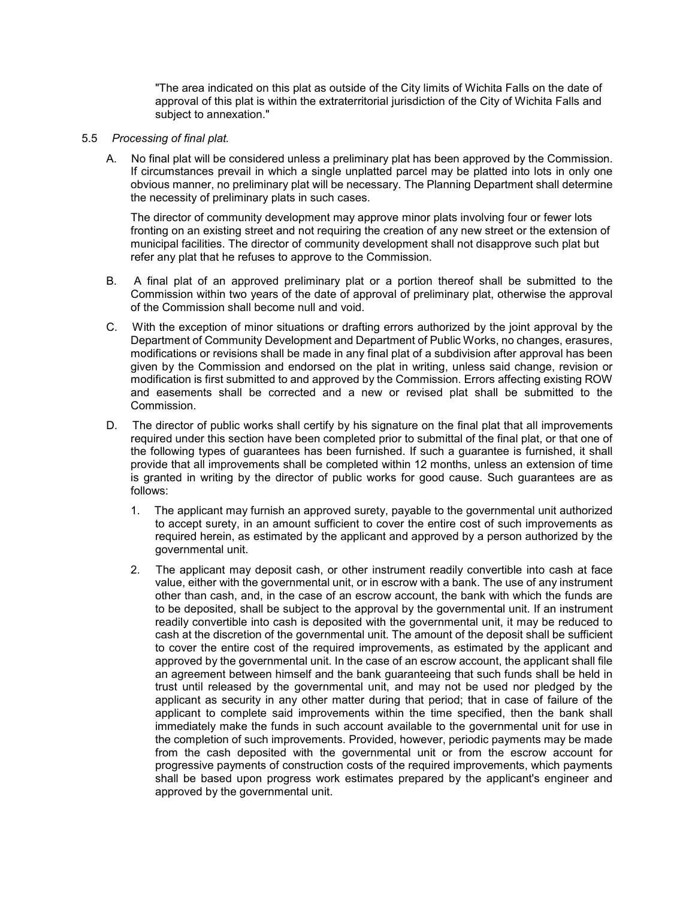"The area indicated on this plat as outside of the City limits of Wichita Falls on the date of approval of this plat is within the extraterritorial jurisdiction of the City of Wichita Falls and subject to annexation."

### 5.5 *Processing of final plat.*

A. No final plat will be considered unless a preliminary plat has been approved by the Commission. If circumstances prevail in which a single unplatted parcel may be platted into lots in only one obvious manner, no preliminary plat will be necessary. The Planning Department shall determine the necessity of preliminary plats in such cases.

The director of community development may approve minor plats involving four or fewer lots fronting on an existing street and not requiring the creation of any new street or the extension of municipal facilities. The director of community development shall not disapprove such plat but refer any plat that he refuses to approve to the Commission.

- B. A final plat of an approved preliminary plat or a portion thereof shall be submitted to the Commission within two years of the date of approval of preliminary plat, otherwise the approval of the Commission shall become null and void.
- C. With the exception of minor situations or drafting errors authorized by the joint approval by the Department of Community Development and Department of Public Works, no changes, erasures, modifications or revisions shall be made in any final plat of a subdivision after approval has been given by the Commission and endorsed on the plat in writing, unless said change, revision or modification is first submitted to and approved by the Commission. Errors affecting existing ROW and easements shall be corrected and a new or revised plat shall be submitted to the Commission.
- D. The director of public works shall certify by his signature on the final plat that all improvements required under this section have been completed prior to submittal of the final plat, or that one of the following types of guarantees has been furnished. If such a guarantee is furnished, it shall provide that all improvements shall be completed within 12 months, unless an extension of time is granted in writing by the director of public works for good cause. Such guarantees are as follows:
	- 1. The applicant may furnish an approved surety, payable to the governmental unit authorized to accept surety, in an amount sufficient to cover the entire cost of such improvements as required herein, as estimated by the applicant and approved by a person authorized by the governmental unit.
	- 2. The applicant may deposit cash, or other instrument readily convertible into cash at face value, either with the governmental unit, or in escrow with a bank. The use of any instrument other than cash, and, in the case of an escrow account, the bank with which the funds are to be deposited, shall be subject to the approval by the governmental unit. If an instrument readily convertible into cash is deposited with the governmental unit, it may be reduced to cash at the discretion of the governmental unit. The amount of the deposit shall be sufficient to cover the entire cost of the required improvements, as estimated by the applicant and approved by the governmental unit. In the case of an escrow account, the applicant shall file an agreement between himself and the bank guaranteeing that such funds shall be held in trust until released by the governmental unit, and may not be used nor pledged by the applicant as security in any other matter during that period; that in case of failure of the applicant to complete said improvements within the time specified, then the bank shall immediately make the funds in such account available to the governmental unit for use in the completion of such improvements. Provided, however, periodic payments may be made from the cash deposited with the governmental unit or from the escrow account for progressive payments of construction costs of the required improvements, which payments shall be based upon progress work estimates prepared by the applicant's engineer and approved by the governmental unit.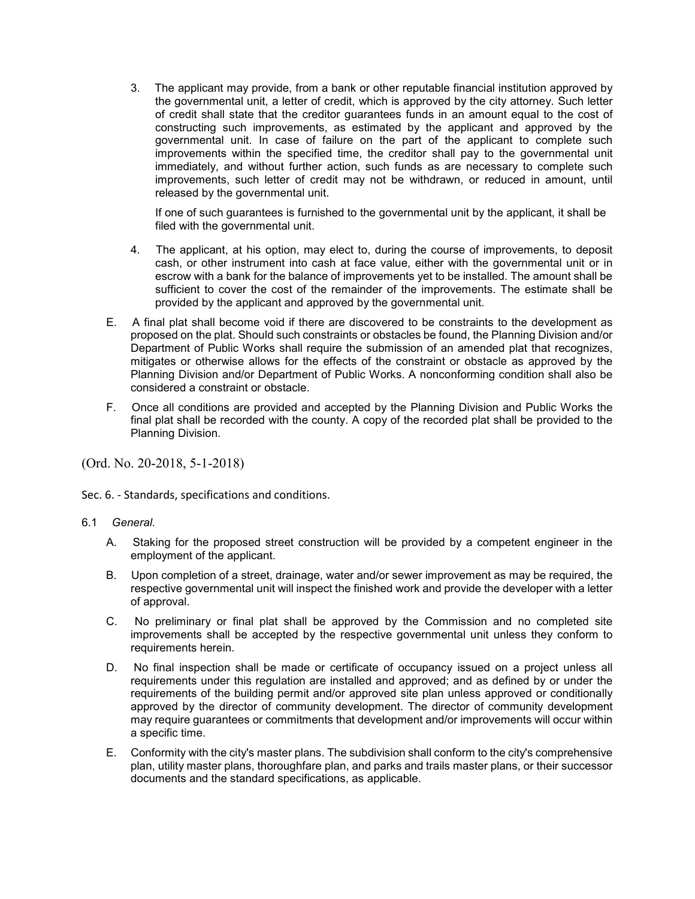3. The applicant may provide, from a bank or other reputable financial institution approved by the governmental unit, a letter of credit, which is approved by the city attorney. Such letter of credit shall state that the creditor guarantees funds in an amount equal to the cost of constructing such improvements, as estimated by the applicant and approved by the governmental unit. In case of failure on the part of the applicant to complete such improvements within the specified time, the creditor shall pay to the governmental unit immediately, and without further action, such funds as are necessary to complete such improvements, such letter of credit may not be withdrawn, or reduced in amount, until released by the governmental unit.

If one of such guarantees is furnished to the governmental unit by the applicant, it shall be filed with the governmental unit.

- 4. The applicant, at his option, may elect to, during the course of improvements, to deposit cash, or other instrument into cash at face value, either with the governmental unit or in escrow with a bank for the balance of improvements yet to be installed. The amount shall be sufficient to cover the cost of the remainder of the improvements. The estimate shall be provided by the applicant and approved by the governmental unit.
- E. A final plat shall become void if there are discovered to be constraints to the development as proposed on the plat. Should such constraints or obstacles be found, the Planning Division and/or Department of Public Works shall require the submission of an amended plat that recognizes, mitigates or otherwise allows for the effects of the constraint or obstacle as approved by the Planning Division and/or Department of Public Works. A nonconforming condition shall also be considered a constraint or obstacle.
- F. Once all conditions are provided and accepted by the Planning Division and Public Works the final plat shall be recorded with the county. A copy of the recorded plat shall be provided to the Planning Division.

(Ord. No. 20-2018, 5-1-2018)

Sec. 6. - Standards, specifications and conditions.

- 6.1 *General.*
	- A. Staking for the proposed street construction will be provided by a competent engineer in the employment of the applicant.
	- B. Upon completion of a street, drainage, water and/or sewer improvement as may be required, the respective governmental unit will inspect the finished work and provide the developer with a letter of approval.
	- C. No preliminary or final plat shall be approved by the Commission and no completed site improvements shall be accepted by the respective governmental unit unless they conform to requirements herein.
	- D. No final inspection shall be made or certificate of occupancy issued on a project unless all requirements under this regulation are installed and approved; and as defined by or under the requirements of the building permit and/or approved site plan unless approved or conditionally approved by the director of community development. The director of community development may require guarantees or commitments that development and/or improvements will occur within a specific time.
	- E. Conformity with the city's master plans. The subdivision shall conform to the city's comprehensive plan, utility master plans, thoroughfare plan, and parks and trails master plans, or their successor documents and the standard specifications, as applicable.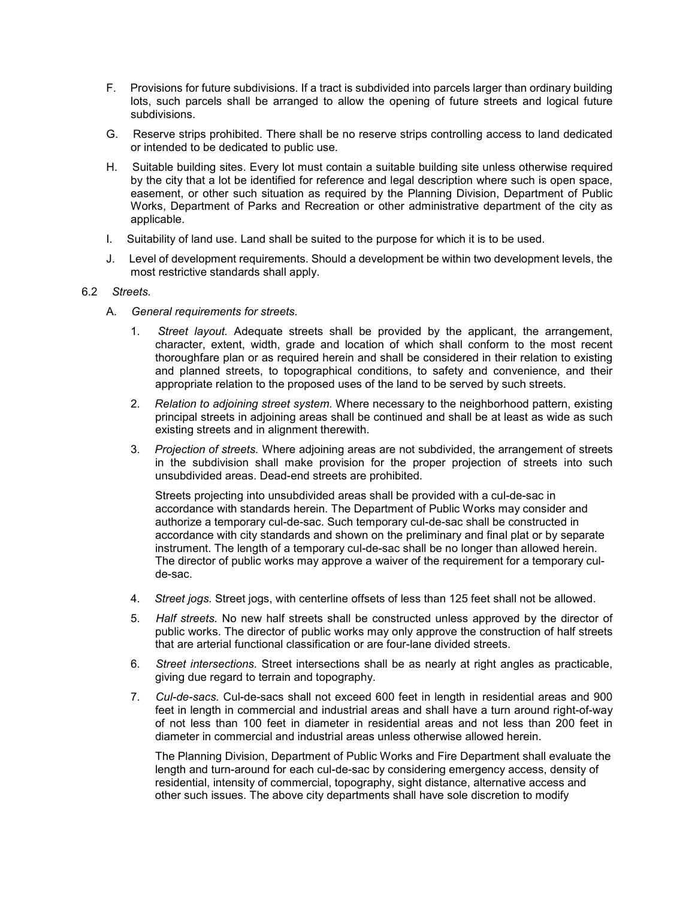- F. Provisions for future subdivisions. If a tract is subdivided into parcels larger than ordinary building lots, such parcels shall be arranged to allow the opening of future streets and logical future subdivisions.
- G. Reserve strips prohibited. There shall be no reserve strips controlling access to land dedicated or intended to be dedicated to public use.
- H. Suitable building sites. Every lot must contain a suitable building site unless otherwise required by the city that a lot be identified for reference and legal description where such is open space, easement, or other such situation as required by the Planning Division, Department of Public Works, Department of Parks and Recreation or other administrative department of the city as applicable.
- I. Suitability of land use. Land shall be suited to the purpose for which it is to be used.
- J. Level of development requirements. Should a development be within two development levels, the most restrictive standards shall apply.

# 6.2 *Streets.*

- A. *General requirements for streets.*
	- 1. *Street layout.* Adequate streets shall be provided by the applicant, the arrangement, character, extent, width, grade and location of which shall conform to the most recent thoroughfare plan or as required herein and shall be considered in their relation to existing and planned streets, to topographical conditions, to safety and convenience, and their appropriate relation to the proposed uses of the land to be served by such streets.
	- 2. *Relation to adjoining street system.* Where necessary to the neighborhood pattern, existing principal streets in adjoining areas shall be continued and shall be at least as wide as such existing streets and in alignment therewith.
	- 3. *Projection of streets.* Where adjoining areas are not subdivided, the arrangement of streets in the subdivision shall make provision for the proper projection of streets into such unsubdivided areas. Dead-end streets are prohibited.

Streets projecting into unsubdivided areas shall be provided with a cul-de-sac in accordance with standards herein. The Department of Public Works may consider and authorize a temporary cul-de-sac. Such temporary cul-de-sac shall be constructed in accordance with city standards and shown on the preliminary and final plat or by separate instrument. The length of a temporary cul-de-sac shall be no longer than allowed herein. The director of public works may approve a waiver of the requirement for a temporary culde-sac.

- 4. *Street jogs.* Street jogs, with centerline offsets of less than 125 feet shall not be allowed.
- 5. *Half streets.* No new half streets shall be constructed unless approved by the director of public works. The director of public works may only approve the construction of half streets that are arterial functional classification or are four-lane divided streets.
- 6. *Street intersections.* Street intersections shall be as nearly at right angles as practicable, giving due regard to terrain and topography.
- 7. *Cul-de-sacs.* Cul-de-sacs shall not exceed 600 feet in length in residential areas and 900 feet in length in commercial and industrial areas and shall have a turn around right-of-way of not less than 100 feet in diameter in residential areas and not less than 200 feet in diameter in commercial and industrial areas unless otherwise allowed herein.

The Planning Division, Department of Public Works and Fire Department shall evaluate the length and turn-around for each cul-de-sac by considering emergency access, density of residential, intensity of commercial, topography, sight distance, alternative access and other such issues. The above city departments shall have sole discretion to modify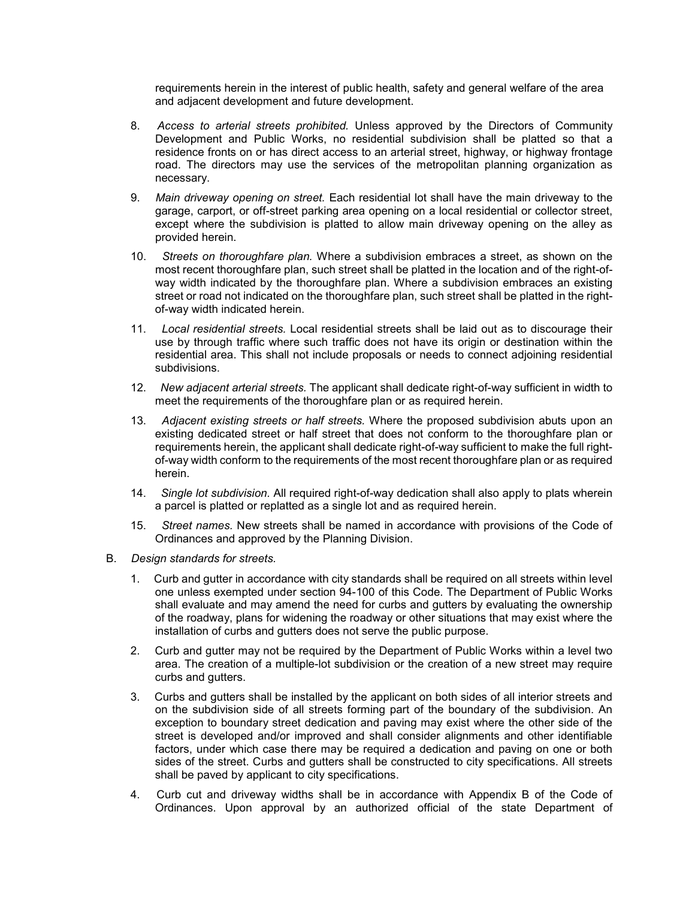requirements herein in the interest of public health, safety and general welfare of the area and adjacent development and future development.

- 8. *Access to arterial streets prohibited.* Unless approved by the Directors of Community Development and Public Works, no residential subdivision shall be platted so that a residence fronts on or has direct access to an arterial street, highway, or highway frontage road. The directors may use the services of the metropolitan planning organization as necessary.
- 9. *Main driveway opening on street.* Each residential lot shall have the main driveway to the garage, carport, or off-street parking area opening on a local residential or collector street, except where the subdivision is platted to allow main driveway opening on the alley as provided herein.
- 10. *Streets on thoroughfare plan.* Where a subdivision embraces a street, as shown on the most recent thoroughfare plan, such street shall be platted in the location and of the right-ofway width indicated by the thoroughfare plan. Where a subdivision embraces an existing street or road not indicated on the thoroughfare plan, such street shall be platted in the rightof-way width indicated herein.
- 11. *Local residential streets.* Local residential streets shall be laid out as to discourage their use by through traffic where such traffic does not have its origin or destination within the residential area. This shall not include proposals or needs to connect adjoining residential subdivisions.
- 12. *New adjacent arterial streets.* The applicant shall dedicate right-of-way sufficient in width to meet the requirements of the thoroughfare plan or as required herein.
- 13. *Adjacent existing streets or half streets.* Where the proposed subdivision abuts upon an existing dedicated street or half street that does not conform to the thoroughfare plan or requirements herein, the applicant shall dedicate right-of-way sufficient to make the full rightof-way width conform to the requirements of the most recent thoroughfare plan or as required herein.
- 14. *Single lot subdivision.* All required right-of-way dedication shall also apply to plats wherein a parcel is platted or replatted as a single lot and as required herein.
- 15. *Street names.* New streets shall be named in accordance with provisions of the Code of Ordinances and approved by the Planning Division.
- B. *Design standards for streets.*
	- 1. Curb and gutter in accordance with city standards shall be required on all streets within level one unless exempted under section 94-100 of this Code. The Department of Public Works shall evaluate and may amend the need for curbs and gutters by evaluating the ownership of the roadway, plans for widening the roadway or other situations that may exist where the installation of curbs and gutters does not serve the public purpose.
	- 2. Curb and gutter may not be required by the Department of Public Works within a level two area. The creation of a multiple-lot subdivision or the creation of a new street may require curbs and gutters.
	- 3. Curbs and gutters shall be installed by the applicant on both sides of all interior streets and on the subdivision side of all streets forming part of the boundary of the subdivision. An exception to boundary street dedication and paving may exist where the other side of the street is developed and/or improved and shall consider alignments and other identifiable factors, under which case there may be required a dedication and paving on one or both sides of the street. Curbs and gutters shall be constructed to city specifications. All streets shall be paved by applicant to city specifications.
	- 4. Curb cut and driveway widths shall be in accordance with Appendix B of the Code of Ordinances. Upon approval by an authorized official of the state Department of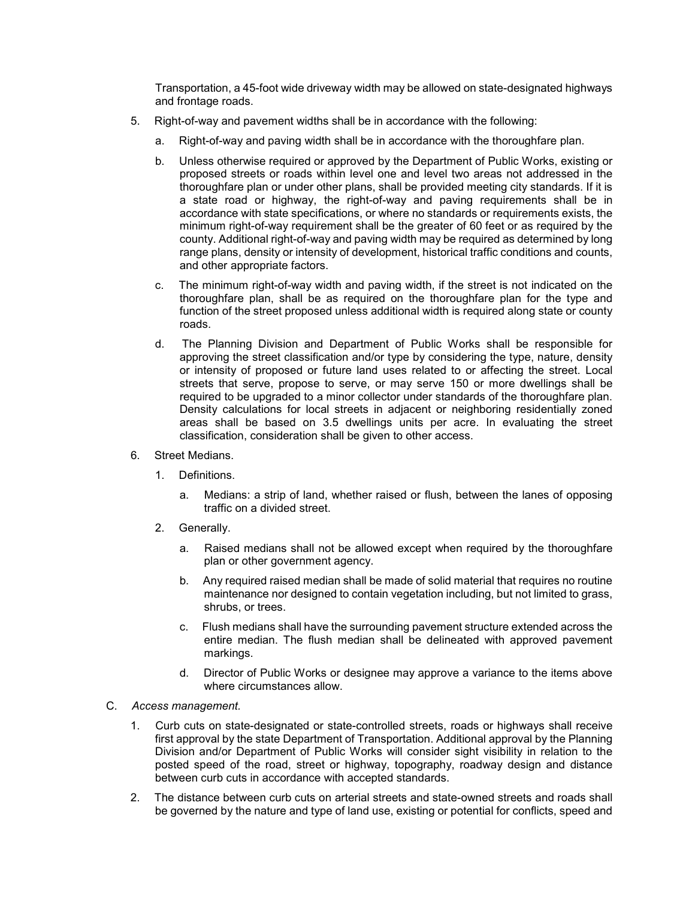Transportation, a 45-foot wide driveway width may be allowed on state-designated highways and frontage roads.

- 5. Right-of-way and pavement widths shall be in accordance with the following:
	- a. Right-of-way and paving width shall be in accordance with the thoroughfare plan.
	- b. Unless otherwise required or approved by the Department of Public Works, existing or proposed streets or roads within level one and level two areas not addressed in the thoroughfare plan or under other plans, shall be provided meeting city standards. If it is a state road or highway, the right-of-way and paving requirements shall be in accordance with state specifications, or where no standards or requirements exists, the minimum right-of-way requirement shall be the greater of 60 feet or as required by the county. Additional right-of-way and paving width may be required as determined by long range plans, density or intensity of development, historical traffic conditions and counts, and other appropriate factors.
	- c. The minimum right-of-way width and paving width, if the street is not indicated on the thoroughfare plan, shall be as required on the thoroughfare plan for the type and function of the street proposed unless additional width is required along state or county roads.
	- d. The Planning Division and Department of Public Works shall be responsible for approving the street classification and/or type by considering the type, nature, density or intensity of proposed or future land uses related to or affecting the street. Local streets that serve, propose to serve, or may serve 150 or more dwellings shall be required to be upgraded to a minor collector under standards of the thoroughfare plan. Density calculations for local streets in adjacent or neighboring residentially zoned areas shall be based on 3.5 dwellings units per acre. In evaluating the street classification, consideration shall be given to other access.
- 6. Street Medians.
	- 1. Definitions.
		- a. Medians: a strip of land, whether raised or flush, between the lanes of opposing traffic on a divided street.
	- 2. Generally.
		- a. Raised medians shall not be allowed except when required by the thoroughfare plan or other government agency.
		- b. Any required raised median shall be made of solid material that requires no routine maintenance nor designed to contain vegetation including, but not limited to grass, shrubs, or trees.
		- c. Flush medians shall have the surrounding pavement structure extended across the entire median. The flush median shall be delineated with approved pavement markings.
		- d. Director of Public Works or designee may approve a variance to the items above where circumstances allow.
- C. *Access management.*
	- 1. Curb cuts on state-designated or state-controlled streets, roads or highways shall receive first approval by the state Department of Transportation. Additional approval by the Planning Division and/or Department of Public Works will consider sight visibility in relation to the posted speed of the road, street or highway, topography, roadway design and distance between curb cuts in accordance with accepted standards.
	- 2. The distance between curb cuts on arterial streets and state-owned streets and roads shall be governed by the nature and type of land use, existing or potential for conflicts, speed and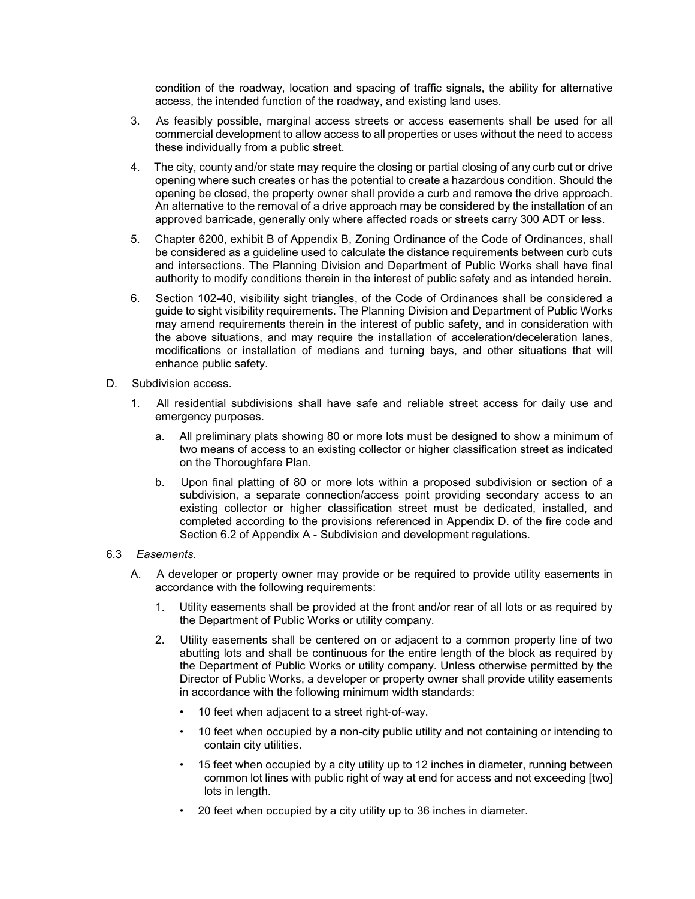condition of the roadway, location and spacing of traffic signals, the ability for alternative access, the intended function of the roadway, and existing land uses.

- 3. As feasibly possible, marginal access streets or access easements shall be used for all commercial development to allow access to all properties or uses without the need to access these individually from a public street.
- 4. The city, county and/or state may require the closing or partial closing of any curb cut or drive opening where such creates or has the potential to create a hazardous condition. Should the opening be closed, the property owner shall provide a curb and remove the drive approach. An alternative to the removal of a drive approach may be considered by the installation of an approved barricade, generally only where affected roads or streets carry 300 ADT or less.
- 5. Chapter 6200, exhibit B of Appendix B, Zoning Ordinance of the Code of Ordinances, shall be considered as a guideline used to calculate the distance requirements between curb cuts and intersections. The Planning Division and Department of Public Works shall have final authority to modify conditions therein in the interest of public safety and as intended herein.
- 6. Section 102-40, visibility sight triangles, of the Code of Ordinances shall be considered a guide to sight visibility requirements. The Planning Division and Department of Public Works may amend requirements therein in the interest of public safety, and in consideration with the above situations, and may require the installation of acceleration/deceleration lanes, modifications or installation of medians and turning bays, and other situations that will enhance public safety.
- D. Subdivision access.
	- 1. All residential subdivisions shall have safe and reliable street access for daily use and emergency purposes.
		- a. All preliminary plats showing 80 or more lots must be designed to show a minimum of two means of access to an existing collector or higher classification street as indicated on the Thoroughfare Plan.
		- b. Upon final platting of 80 or more lots within a proposed subdivision or section of a subdivision, a separate connection/access point providing secondary access to an existing collector or higher classification street must be dedicated, installed, and completed according to the provisions referenced in Appendix D. of the fire code and Section 6.2 of Appendix A - Subdivision and development regulations.

### 6.3 *Easements.*

- A. A developer or property owner may provide or be required to provide utility easements in accordance with the following requirements:
	- 1. Utility easements shall be provided at the front and/or rear of all lots or as required by the Department of Public Works or utility company.
	- 2. Utility easements shall be centered on or adjacent to a common property line of two abutting lots and shall be continuous for the entire length of the block as required by the Department of Public Works or utility company. Unless otherwise permitted by the Director of Public Works, a developer or property owner shall provide utility easements in accordance with the following minimum width standards:
		- 10 feet when adjacent to a street right-of-way.
		- 10 feet when occupied by a non-city public utility and not containing or intending to contain city utilities.
		- 15 feet when occupied by a city utility up to 12 inches in diameter, running between common lot lines with public right of way at end for access and not exceeding [two] lots in length.
		- 20 feet when occupied by a city utility up to 36 inches in diameter.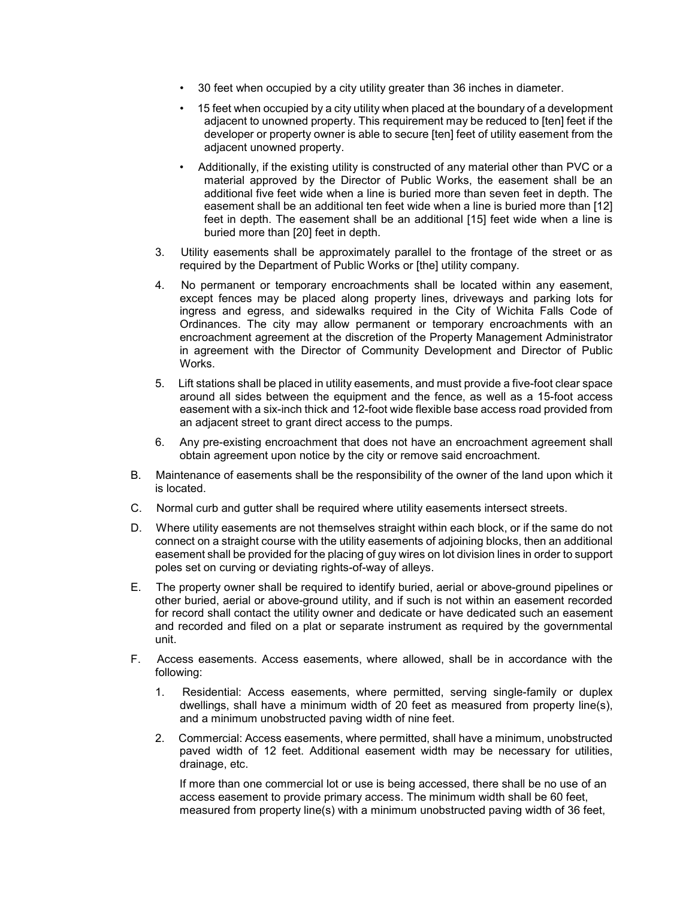- 30 feet when occupied by a city utility greater than 36 inches in diameter.
- 15 feet when occupied by a city utility when placed at the boundary of a development adjacent to unowned property. This requirement may be reduced to [ten] feet if the developer or property owner is able to secure [ten] feet of utility easement from the adjacent unowned property.
- Additionally, if the existing utility is constructed of any material other than PVC or a material approved by the Director of Public Works, the easement shall be an additional five feet wide when a line is buried more than seven feet in depth. The easement shall be an additional ten feet wide when a line is buried more than [12] feet in depth. The easement shall be an additional [15] feet wide when a line is buried more than [20] feet in depth.
- 3. Utility easements shall be approximately parallel to the frontage of the street or as required by the Department of Public Works or [the] utility company.
- 4. No permanent or temporary encroachments shall be located within any easement, except fences may be placed along property lines, driveways and parking lots for ingress and egress, and sidewalks required in the City of Wichita Falls Code of Ordinances. The city may allow permanent or temporary encroachments with an encroachment agreement at the discretion of the Property Management Administrator in agreement with the Director of Community Development and Director of Public Works.
- 5. Lift stations shall be placed in utility easements, and must provide a five-foot clear space around all sides between the equipment and the fence, as well as a 15-foot access easement with a six-inch thick and 12-foot wide flexible base access road provided from an adjacent street to grant direct access to the pumps.
- 6. Any pre-existing encroachment that does not have an encroachment agreement shall obtain agreement upon notice by the city or remove said encroachment.
- B. Maintenance of easements shall be the responsibility of the owner of the land upon which it is located.
- C. Normal curb and gutter shall be required where utility easements intersect streets.
- D. Where utility easements are not themselves straight within each block, or if the same do not connect on a straight course with the utility easements of adjoining blocks, then an additional easement shall be provided for the placing of guy wires on lot division lines in order to support poles set on curving or deviating rights-of-way of alleys.
- E. The property owner shall be required to identify buried, aerial or above-ground pipelines or other buried, aerial or above-ground utility, and if such is not within an easement recorded for record shall contact the utility owner and dedicate or have dedicated such an easement and recorded and filed on a plat or separate instrument as required by the governmental unit.
- F. Access easements. Access easements, where allowed, shall be in accordance with the following:
	- 1. Residential: Access easements, where permitted, serving single-family or duplex dwellings, shall have a minimum width of 20 feet as measured from property line(s), and a minimum unobstructed paving width of nine feet.
	- 2. Commercial: Access easements, where permitted, shall have a minimum, unobstructed paved width of 12 feet. Additional easement width may be necessary for utilities, drainage, etc.

If more than one commercial lot or use is being accessed, there shall be no use of an access easement to provide primary access. The minimum width shall be 60 feet, measured from property line(s) with a minimum unobstructed paving width of 36 feet,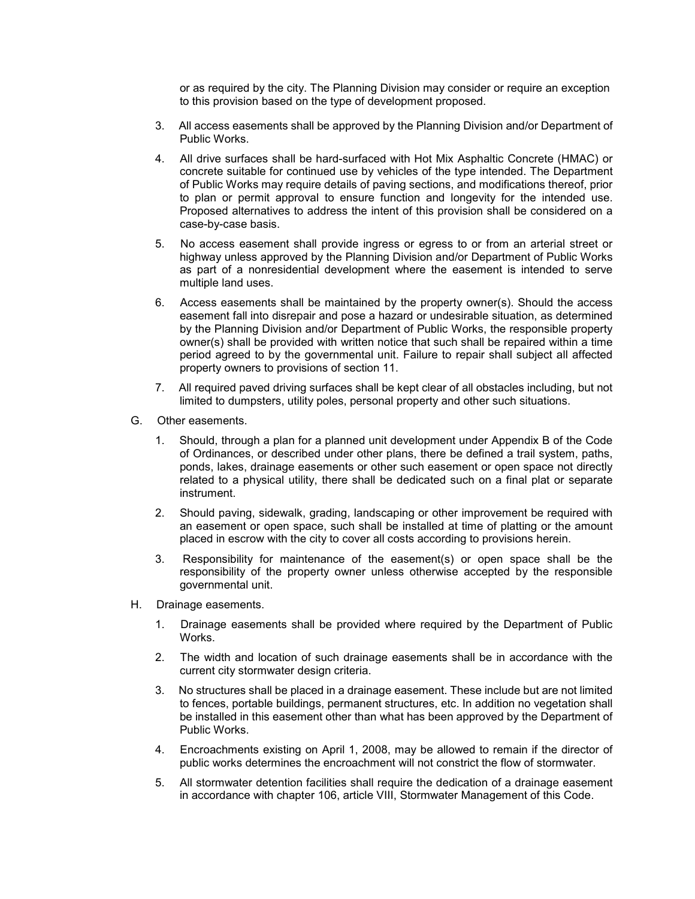or as required by the city. The Planning Division may consider or require an exception to this provision based on the type of development proposed.

- 3. All access easements shall be approved by the Planning Division and/or Department of Public Works.
- 4. All drive surfaces shall be hard-surfaced with Hot Mix Asphaltic Concrete (HMAC) or concrete suitable for continued use by vehicles of the type intended. The Department of Public Works may require details of paving sections, and modifications thereof, prior to plan or permit approval to ensure function and longevity for the intended use. Proposed alternatives to address the intent of this provision shall be considered on a case-by-case basis.
- 5. No access easement shall provide ingress or egress to or from an arterial street or highway unless approved by the Planning Division and/or Department of Public Works as part of a nonresidential development where the easement is intended to serve multiple land uses.
- 6. Access easements shall be maintained by the property owner(s). Should the access easement fall into disrepair and pose a hazard or undesirable situation, as determined by the Planning Division and/or Department of Public Works, the responsible property owner(s) shall be provided with written notice that such shall be repaired within a time period agreed to by the governmental unit. Failure to repair shall subject all affected property owners to provisions of section 11.
- 7. All required paved driving surfaces shall be kept clear of all obstacles including, but not limited to dumpsters, utility poles, personal property and other such situations.
- G. Other easements.
	- 1. Should, through a plan for a planned unit development under Appendix B of the Code of Ordinances, or described under other plans, there be defined a trail system, paths, ponds, lakes, drainage easements or other such easement or open space not directly related to a physical utility, there shall be dedicated such on a final plat or separate instrument.
	- 2. Should paving, sidewalk, grading, landscaping or other improvement be required with an easement or open space, such shall be installed at time of platting or the amount placed in escrow with the city to cover all costs according to provisions herein.
	- 3. Responsibility for maintenance of the easement(s) or open space shall be the responsibility of the property owner unless otherwise accepted by the responsible governmental unit.
- H. Drainage easements.
	- 1. Drainage easements shall be provided where required by the Department of Public Works.
	- 2. The width and location of such drainage easements shall be in accordance with the current city stormwater design criteria.
	- 3. No structures shall be placed in a drainage easement. These include but are not limited to fences, portable buildings, permanent structures, etc. In addition no vegetation shall be installed in this easement other than what has been approved by the Department of Public Works.
	- 4. Encroachments existing on April 1, 2008, may be allowed to remain if the director of public works determines the encroachment will not constrict the flow of stormwater.
	- 5. All stormwater detention facilities shall require the dedication of a drainage easement in accordance with chapter 106, article VIII, Stormwater Management of this Code.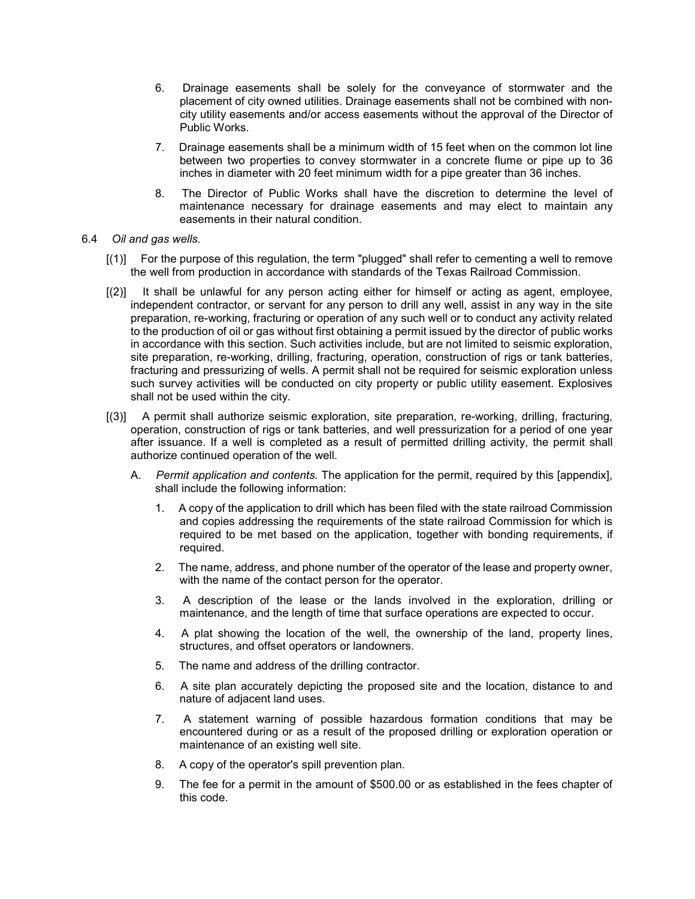- 6. Drainage easements shall be solely for the conveyance of stormwater and the placement of city owned utilities. Drainage easements shall not be combined with noncity utility easements and/or access easements without the approval of the Director of Public Works.
- 7. Drainage easements shall be a minimum width of 15 feet when on the common lot line between two properties to convey stormwater in a concrete flume or pipe up to 36 inches in diameter with 20 feet minimum width for a pipe greater than 36 inches.
- 8. The Director of Public Works shall have the discretion to determine the level of maintenance necessary for drainage easements and may elect to maintain any easements in their natural condition.
- 6.4 *Oil and gas wells.*
	- [(1)] For the purpose of this regulation, the term "plugged" shall refer to cementing a well to remove the well from production in accordance with standards of the Texas Railroad Commission.
	- [(2)] It shall be unlawful for any person acting either for himself or acting as agent, employee, independent contractor, or servant for any person to drill any well, assist in any way in the site preparation, re-working, fracturing or operation of any such well or to conduct any activity related to the production of oil or gas without first obtaining a permit issued by the director of public works in accordance with this section. Such activities include, but are not limited to seismic exploration, site preparation, re-working, drilling, fracturing, operation, construction of rigs or tank batteries, fracturing and pressurizing of wells. A permit shall not be required for seismic exploration unless such survey activities will be conducted on city property or public utility easement. Explosives shall not be used within the city.
	- [(3)] A permit shall authorize seismic exploration, site preparation, re-working, drilling, fracturing, operation, construction of rigs or tank batteries, and well pressurization for a period of one year after issuance. If a well is completed as a result of permitted drilling activity, the permit shall authorize continued operation of the well.
		- A. *Permit application and contents.* The application for the permit, required by this [appendix], shall include the following information:
			- 1. A copy of the application to drill which has been filed with the state railroad Commission and copies addressing the requirements of the state railroad Commission for which is required to be met based on the application, together with bonding requirements, if required.
			- 2. The name, address, and phone number of the operator of the lease and property owner, with the name of the contact person for the operator.
			- 3. A description of the lease or the lands involved in the exploration, drilling or maintenance, and the length of time that surface operations are expected to occur.
			- 4. A plat showing the location of the well, the ownership of the land, property lines, structures, and offset operators or landowners.
			- 5. The name and address of the drilling contractor.
			- 6. A site plan accurately depicting the proposed site and the location, distance to and nature of adjacent land uses.
			- 7. A statement warning of possible hazardous formation conditions that may be encountered during or as a result of the proposed drilling or exploration operation or maintenance of an existing well site.
			- 8. A copy of the operator's spill prevention plan.
			- 9. The fee for a permit in the amount of \$500.00 or as established in the fees chapter of this code.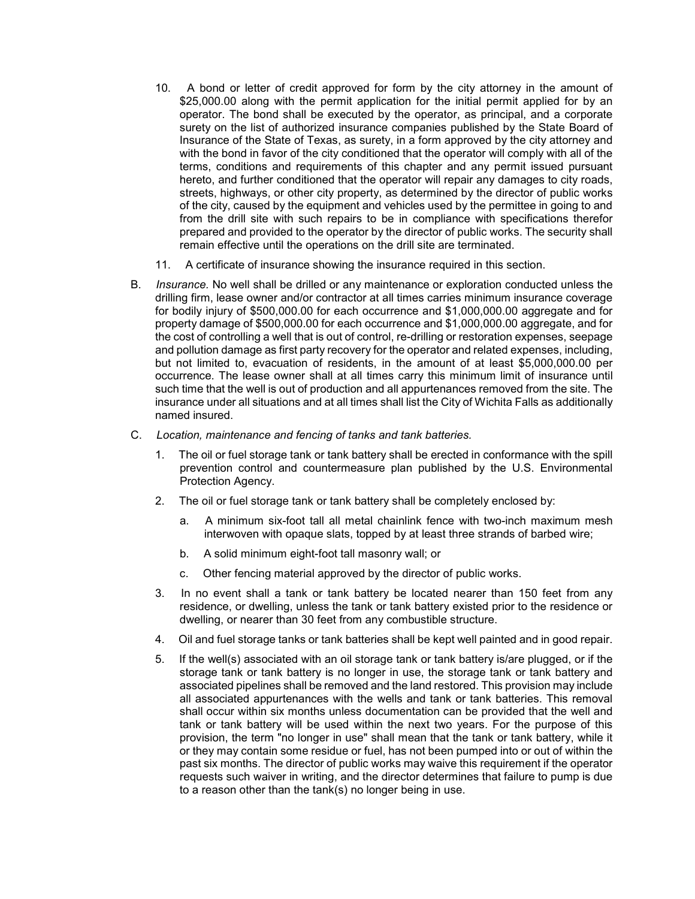- 10. A bond or letter of credit approved for form by the city attorney in the amount of \$25,000.00 along with the permit application for the initial permit applied for by an operator. The bond shall be executed by the operator, as principal, and a corporate surety on the list of authorized insurance companies published by the State Board of Insurance of the State of Texas, as surety, in a form approved by the city attorney and with the bond in favor of the city conditioned that the operator will comply with all of the terms, conditions and requirements of this chapter and any permit issued pursuant hereto, and further conditioned that the operator will repair any damages to city roads, streets, highways, or other city property, as determined by the director of public works of the city, caused by the equipment and vehicles used by the permittee in going to and from the drill site with such repairs to be in compliance with specifications therefor prepared and provided to the operator by the director of public works. The security shall remain effective until the operations on the drill site are terminated.
- 11. A certificate of insurance showing the insurance required in this section.
- B. *Insurance.* No well shall be drilled or any maintenance or exploration conducted unless the drilling firm, lease owner and/or contractor at all times carries minimum insurance coverage for bodily injury of \$500,000.00 for each occurrence and \$1,000,000.00 aggregate and for property damage of \$500,000.00 for each occurrence and \$1,000,000.00 aggregate, and for the cost of controlling a well that is out of control, re-drilling or restoration expenses, seepage and pollution damage as first party recovery for the operator and related expenses, including, but not limited to, evacuation of residents, in the amount of at least \$5,000,000.00 per occurrence. The lease owner shall at all times carry this minimum limit of insurance until such time that the well is out of production and all appurtenances removed from the site. The insurance under all situations and at all times shall list the City of Wichita Falls as additionally named insured.
- C. *Location, maintenance and fencing of tanks and tank batteries.*
	- 1. The oil or fuel storage tank or tank battery shall be erected in conformance with the spill prevention control and countermeasure plan published by the U.S. Environmental Protection Agency.
	- 2. The oil or fuel storage tank or tank battery shall be completely enclosed by:
		- a. A minimum six-foot tall all metal chainlink fence with two-inch maximum mesh interwoven with opaque slats, topped by at least three strands of barbed wire;
		- b. A solid minimum eight-foot tall masonry wall; or
		- c. Other fencing material approved by the director of public works.
	- 3. In no event shall a tank or tank battery be located nearer than 150 feet from any residence, or dwelling, unless the tank or tank battery existed prior to the residence or dwelling, or nearer than 30 feet from any combustible structure.
	- 4. Oil and fuel storage tanks or tank batteries shall be kept well painted and in good repair.
	- 5. If the well(s) associated with an oil storage tank or tank battery is/are plugged, or if the storage tank or tank battery is no longer in use, the storage tank or tank battery and associated pipelines shall be removed and the land restored. This provision may include all associated appurtenances with the wells and tank or tank batteries. This removal shall occur within six months unless documentation can be provided that the well and tank or tank battery will be used within the next two years. For the purpose of this provision, the term "no longer in use" shall mean that the tank or tank battery, while it or they may contain some residue or fuel, has not been pumped into or out of within the past six months. The director of public works may waive this requirement if the operator requests such waiver in writing, and the director determines that failure to pump is due to a reason other than the tank(s) no longer being in use.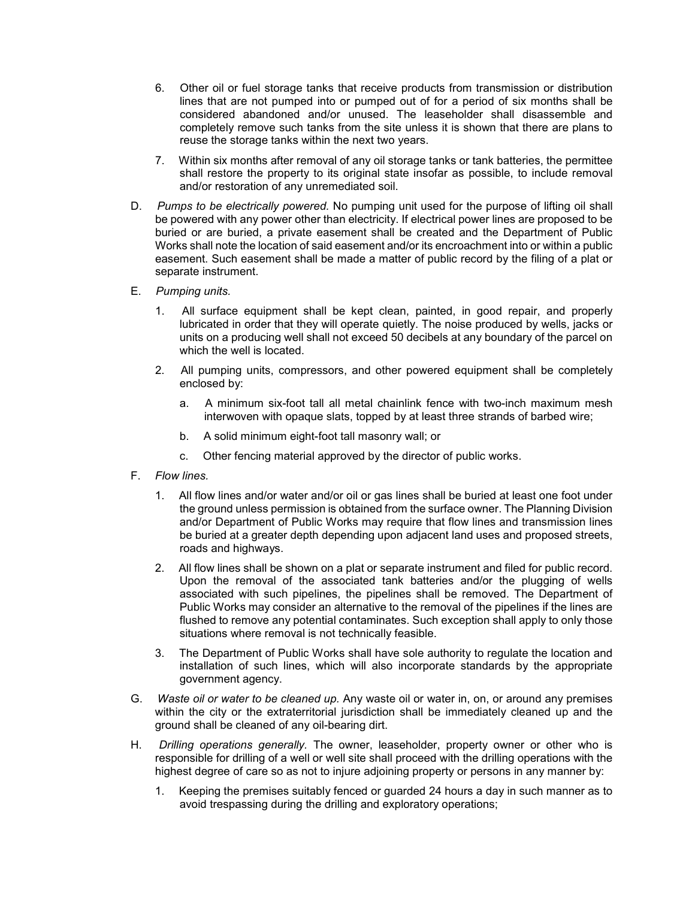- 6. Other oil or fuel storage tanks that receive products from transmission or distribution lines that are not pumped into or pumped out of for a period of six months shall be considered abandoned and/or unused. The leaseholder shall disassemble and completely remove such tanks from the site unless it is shown that there are plans to reuse the storage tanks within the next two years.
- 7. Within six months after removal of any oil storage tanks or tank batteries, the permittee shall restore the property to its original state insofar as possible, to include removal and/or restoration of any unremediated soil.
- D. *Pumps to be electrically powered.* No pumping unit used for the purpose of lifting oil shall be powered with any power other than electricity. If electrical power lines are proposed to be buried or are buried, a private easement shall be created and the Department of Public Works shall note the location of said easement and/or its encroachment into or within a public easement. Such easement shall be made a matter of public record by the filing of a plat or separate instrument.
- E. *Pumping units.*
	- 1. All surface equipment shall be kept clean, painted, in good repair, and properly lubricated in order that they will operate quietly. The noise produced by wells, jacks or units on a producing well shall not exceed 50 decibels at any boundary of the parcel on which the well is located.
	- 2. All pumping units, compressors, and other powered equipment shall be completely enclosed by:
		- a. A minimum six-foot tall all metal chainlink fence with two-inch maximum mesh interwoven with opaque slats, topped by at least three strands of barbed wire;
		- b. A solid minimum eight-foot tall masonry wall; or
		- c. Other fencing material approved by the director of public works.
- F. *Flow lines.*
	- 1. All flow lines and/or water and/or oil or gas lines shall be buried at least one foot under the ground unless permission is obtained from the surface owner. The Planning Division and/or Department of Public Works may require that flow lines and transmission lines be buried at a greater depth depending upon adjacent land uses and proposed streets, roads and highways.
	- 2. All flow lines shall be shown on a plat or separate instrument and filed for public record. Upon the removal of the associated tank batteries and/or the plugging of wells associated with such pipelines, the pipelines shall be removed. The Department of Public Works may consider an alternative to the removal of the pipelines if the lines are flushed to remove any potential contaminates. Such exception shall apply to only those situations where removal is not technically feasible.
	- 3. The Department of Public Works shall have sole authority to regulate the location and installation of such lines, which will also incorporate standards by the appropriate government agency.
- G. *Waste oil or water to be cleaned up.* Any waste oil or water in, on, or around any premises within the city or the extraterritorial jurisdiction shall be immediately cleaned up and the ground shall be cleaned of any oil-bearing dirt.
- H. *Drilling operations generally.* The owner, leaseholder, property owner or other who is responsible for drilling of a well or well site shall proceed with the drilling operations with the highest degree of care so as not to injure adjoining property or persons in any manner by:
	- 1. Keeping the premises suitably fenced or guarded 24 hours a day in such manner as to avoid trespassing during the drilling and exploratory operations;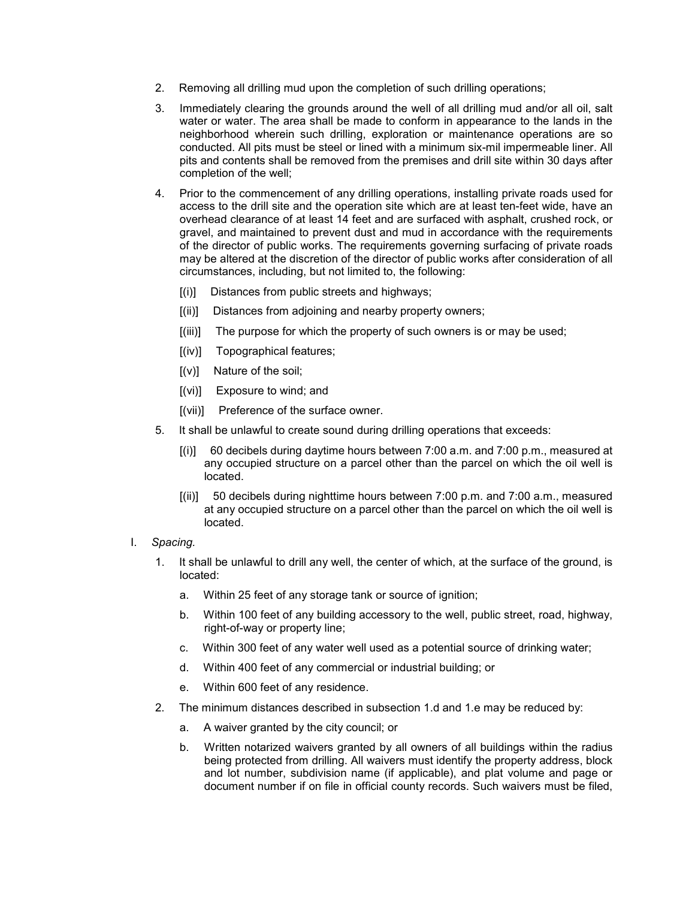- 2. Removing all drilling mud upon the completion of such drilling operations;
- 3. Immediately clearing the grounds around the well of all drilling mud and/or all oil, salt water or water. The area shall be made to conform in appearance to the lands in the neighborhood wherein such drilling, exploration or maintenance operations are so conducted. All pits must be steel or lined with a minimum six-mil impermeable liner. All pits and contents shall be removed from the premises and drill site within 30 days after completion of the well;
- 4. Prior to the commencement of any drilling operations, installing private roads used for access to the drill site and the operation site which are at least ten-feet wide, have an overhead clearance of at least 14 feet and are surfaced with asphalt, crushed rock, or gravel, and maintained to prevent dust and mud in accordance with the requirements of the director of public works. The requirements governing surfacing of private roads may be altered at the discretion of the director of public works after consideration of all circumstances, including, but not limited to, the following:
	- [(i)] Distances from public streets and highways;
	- [(ii)] Distances from adjoining and nearby property owners;
	- [(iii)] The purpose for which the property of such owners is or may be used;
	- [(iv)] Topographical features;
	- $[(v)]$  Nature of the soil;
	- [(vi)] Exposure to wind; and
	- [(vii)] Preference of the surface owner.
- 5. It shall be unlawful to create sound during drilling operations that exceeds:
	- [(i)] 60 decibels during daytime hours between 7:00 a.m. and 7:00 p.m., measured at any occupied structure on a parcel other than the parcel on which the oil well is located.
	- [(ii)] 50 decibels during nighttime hours between 7:00 p.m. and 7:00 a.m., measured at any occupied structure on a parcel other than the parcel on which the oil well is located.

# I. *Spacing.*

- 1. It shall be unlawful to drill any well, the center of which, at the surface of the ground, is located:
	- a. Within 25 feet of any storage tank or source of ignition;
	- b. Within 100 feet of any building accessory to the well, public street, road, highway, right-of-way or property line;
	- c. Within 300 feet of any water well used as a potential source of drinking water;
	- d. Within 400 feet of any commercial or industrial building; or
	- e. Within 600 feet of any residence.
- 2. The minimum distances described in subsection 1.d and 1.e may be reduced by:
	- a. A waiver granted by the city council; or
	- b. Written notarized waivers granted by all owners of all buildings within the radius being protected from drilling. All waivers must identify the property address, block and lot number, subdivision name (if applicable), and plat volume and page or document number if on file in official county records. Such waivers must be filed,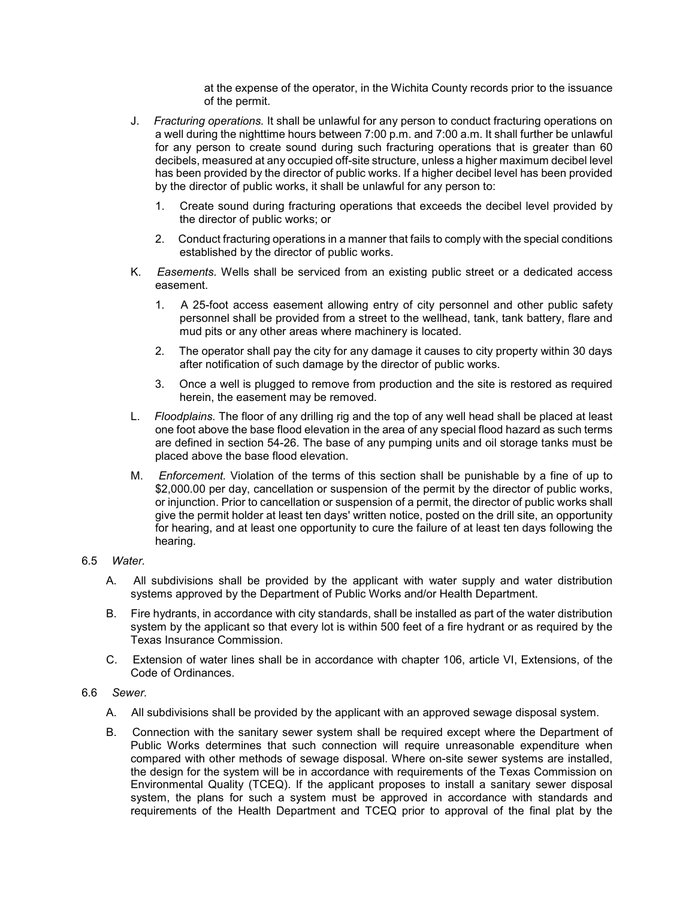at the expense of the operator, in the Wichita County records prior to the issuance of the permit.

- J. *Fracturing operations.* It shall be unlawful for any person to conduct fracturing operations on a well during the nighttime hours between 7:00 p.m. and 7:00 a.m. It shall further be unlawful for any person to create sound during such fracturing operations that is greater than 60 decibels, measured at any occupied off-site structure, unless a higher maximum decibel level has been provided by the director of public works. If a higher decibel level has been provided by the director of public works, it shall be unlawful for any person to:
	- 1. Create sound during fracturing operations that exceeds the decibel level provided by the director of public works; or
	- 2. Conduct fracturing operations in a manner that fails to comply with the special conditions established by the director of public works.
- K. *Easements.* Wells shall be serviced from an existing public street or a dedicated access easement.
	- 1. A 25-foot access easement allowing entry of city personnel and other public safety personnel shall be provided from a street to the wellhead, tank, tank battery, flare and mud pits or any other areas where machinery is located.
	- 2. The operator shall pay the city for any damage it causes to city property within 30 days after notification of such damage by the director of public works.
	- 3. Once a well is plugged to remove from production and the site is restored as required herein, the easement may be removed.
- L. *Floodplains.* The floor of any drilling rig and the top of any well head shall be placed at least one foot above the base flood elevation in the area of any special flood hazard as such terms are defined in section 54-26. The base of any pumping units and oil storage tanks must be placed above the base flood elevation.
- M. *Enforcement.* Violation of the terms of this section shall be punishable by a fine of up to \$2,000.00 per day, cancellation or suspension of the permit by the director of public works, or injunction. Prior to cancellation or suspension of a permit, the director of public works shall give the permit holder at least ten days' written notice, posted on the drill site, an opportunity for hearing, and at least one opportunity to cure the failure of at least ten days following the hearing.

# 6.5 *Water.*

- A. All subdivisions shall be provided by the applicant with water supply and water distribution systems approved by the Department of Public Works and/or Health Department.
- B. Fire hydrants, in accordance with city standards, shall be installed as part of the water distribution system by the applicant so that every lot is within 500 feet of a fire hydrant or as required by the Texas Insurance Commission.
- C. Extension of water lines shall be in accordance with chapter 106, article VI, Extensions, of the Code of Ordinances.

## 6.6 *Sewer.*

- A. All subdivisions shall be provided by the applicant with an approved sewage disposal system.
- B. Connection with the sanitary sewer system shall be required except where the Department of Public Works determines that such connection will require unreasonable expenditure when compared with other methods of sewage disposal. Where on-site sewer systems are installed, the design for the system will be in accordance with requirements of the Texas Commission on Environmental Quality (TCEQ). If the applicant proposes to install a sanitary sewer disposal system, the plans for such a system must be approved in accordance with standards and requirements of the Health Department and TCEQ prior to approval of the final plat by the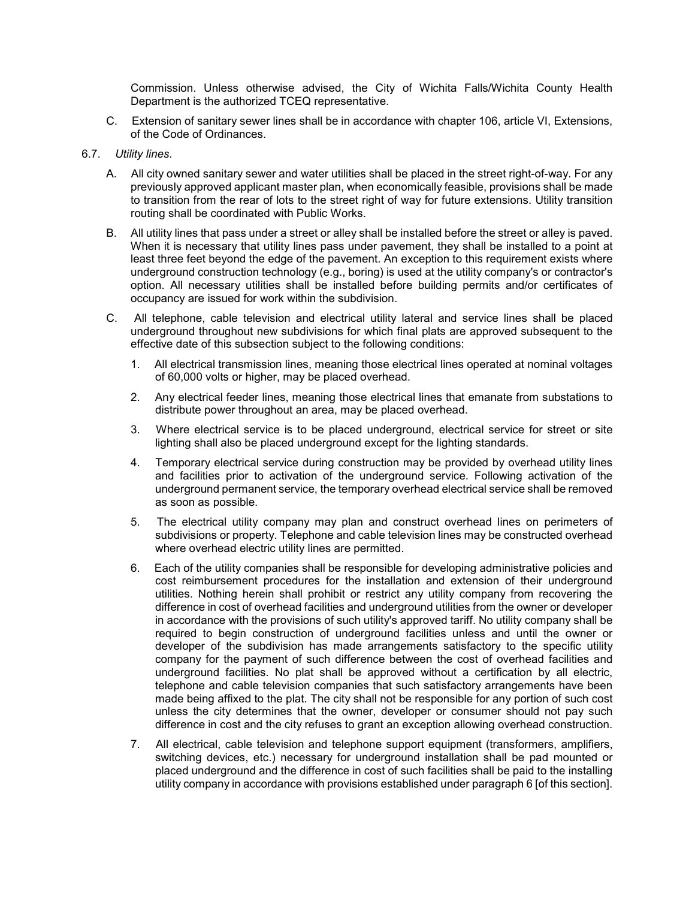Commission. Unless otherwise advised, the City of Wichita Falls/Wichita County Health Department is the authorized TCEQ representative.

- C. Extension of sanitary sewer lines shall be in accordance with chapter 106, article VI, Extensions, of the Code of Ordinances.
- 6.7. *Utility lines.*
	- A. All city owned sanitary sewer and water utilities shall be placed in the street right-of-way. For any previously approved applicant master plan, when economically feasible, provisions shall be made to transition from the rear of lots to the street right of way for future extensions. Utility transition routing shall be coordinated with Public Works.
	- B. All utility lines that pass under a street or alley shall be installed before the street or alley is paved. When it is necessary that utility lines pass under pavement, they shall be installed to a point at least three feet beyond the edge of the pavement. An exception to this requirement exists where underground construction technology (e.g., boring) is used at the utility company's or contractor's option. All necessary utilities shall be installed before building permits and/or certificates of occupancy are issued for work within the subdivision.
	- C. All telephone, cable television and electrical utility lateral and service lines shall be placed underground throughout new subdivisions for which final plats are approved subsequent to the effective date of this subsection subject to the following conditions:
		- 1. All electrical transmission lines, meaning those electrical lines operated at nominal voltages of 60,000 volts or higher, may be placed overhead.
		- 2. Any electrical feeder lines, meaning those electrical lines that emanate from substations to distribute power throughout an area, may be placed overhead.
		- 3. Where electrical service is to be placed underground, electrical service for street or site lighting shall also be placed underground except for the lighting standards.
		- 4. Temporary electrical service during construction may be provided by overhead utility lines and facilities prior to activation of the underground service. Following activation of the underground permanent service, the temporary overhead electrical service shall be removed as soon as possible.
		- 5. The electrical utility company may plan and construct overhead lines on perimeters of subdivisions or property. Telephone and cable television lines may be constructed overhead where overhead electric utility lines are permitted.
		- 6. Each of the utility companies shall be responsible for developing administrative policies and cost reimbursement procedures for the installation and extension of their underground utilities. Nothing herein shall prohibit or restrict any utility company from recovering the difference in cost of overhead facilities and underground utilities from the owner or developer in accordance with the provisions of such utility's approved tariff. No utility company shall be required to begin construction of underground facilities unless and until the owner or developer of the subdivision has made arrangements satisfactory to the specific utility company for the payment of such difference between the cost of overhead facilities and underground facilities. No plat shall be approved without a certification by all electric, telephone and cable television companies that such satisfactory arrangements have been made being affixed to the plat. The city shall not be responsible for any portion of such cost unless the city determines that the owner, developer or consumer should not pay such difference in cost and the city refuses to grant an exception allowing overhead construction.
		- 7. All electrical, cable television and telephone support equipment (transformers, amplifiers, switching devices, etc.) necessary for underground installation shall be pad mounted or placed underground and the difference in cost of such facilities shall be paid to the installing utility company in accordance with provisions established under paragraph 6 [of this section].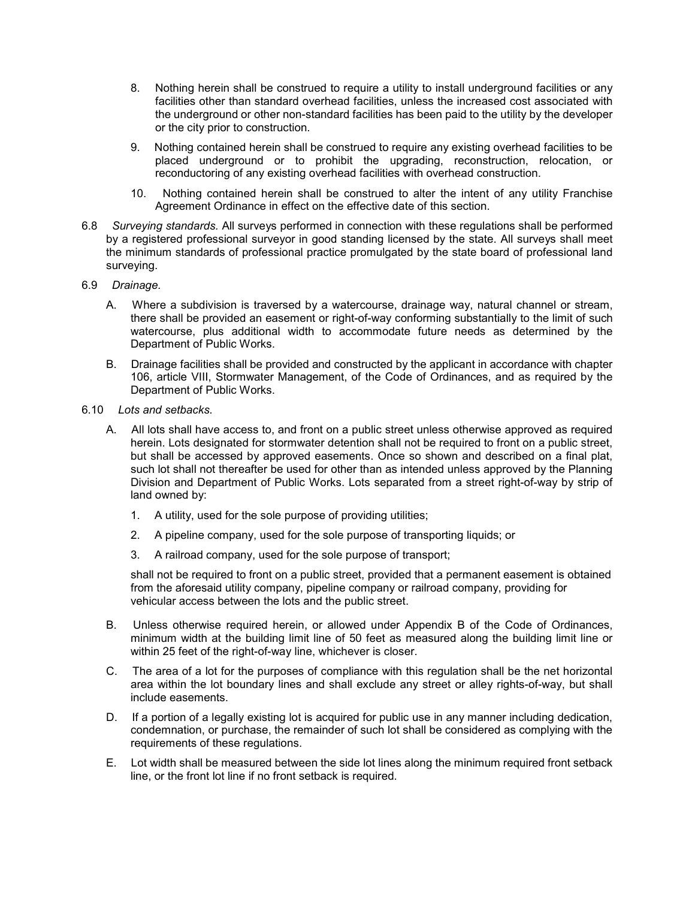- 8. Nothing herein shall be construed to require a utility to install underground facilities or any facilities other than standard overhead facilities, unless the increased cost associated with the underground or other non-standard facilities has been paid to the utility by the developer or the city prior to construction.
- 9. Nothing contained herein shall be construed to require any existing overhead facilities to be placed underground or to prohibit the upgrading, reconstruction, relocation, or reconductoring of any existing overhead facilities with overhead construction.
- 10. Nothing contained herein shall be construed to alter the intent of any utility Franchise Agreement Ordinance in effect on the effective date of this section.
- 6.8 *Surveying standards.* All surveys performed in connection with these regulations shall be performed by a registered professional surveyor in good standing licensed by the state. All surveys shall meet the minimum standards of professional practice promulgated by the state board of professional land surveying.
- 6.9 *Drainage.*
	- A. Where a subdivision is traversed by a watercourse, drainage way, natural channel or stream, there shall be provided an easement or right-of-way conforming substantially to the limit of such watercourse, plus additional width to accommodate future needs as determined by the Department of Public Works.
	- B. Drainage facilities shall be provided and constructed by the applicant in accordance with chapter 106, article VIII, Stormwater Management, of the Code of Ordinances, and as required by the Department of Public Works.
- 6.10 *Lots and setbacks.*
	- A. All lots shall have access to, and front on a public street unless otherwise approved as required herein. Lots designated for stormwater detention shall not be required to front on a public street, but shall be accessed by approved easements. Once so shown and described on a final plat, such lot shall not thereafter be used for other than as intended unless approved by the Planning Division and Department of Public Works. Lots separated from a street right-of-way by strip of land owned by:
		- 1. A utility, used for the sole purpose of providing utilities;
		- 2. A pipeline company, used for the sole purpose of transporting liquids; or
		- 3. A railroad company, used for the sole purpose of transport;

shall not be required to front on a public street, provided that a permanent easement is obtained from the aforesaid utility company, pipeline company or railroad company, providing for vehicular access between the lots and the public street.

- B. Unless otherwise required herein, or allowed under Appendix B of the Code of Ordinances, minimum width at the building limit line of 50 feet as measured along the building limit line or within 25 feet of the right-of-way line, whichever is closer.
- C. The area of a lot for the purposes of compliance with this regulation shall be the net horizontal area within the lot boundary lines and shall exclude any street or alley rights-of-way, but shall include easements.
- D. If a portion of a legally existing lot is acquired for public use in any manner including dedication, condemnation, or purchase, the remainder of such lot shall be considered as complying with the requirements of these regulations.
- E. Lot width shall be measured between the side lot lines along the minimum required front setback line, or the front lot line if no front setback is required.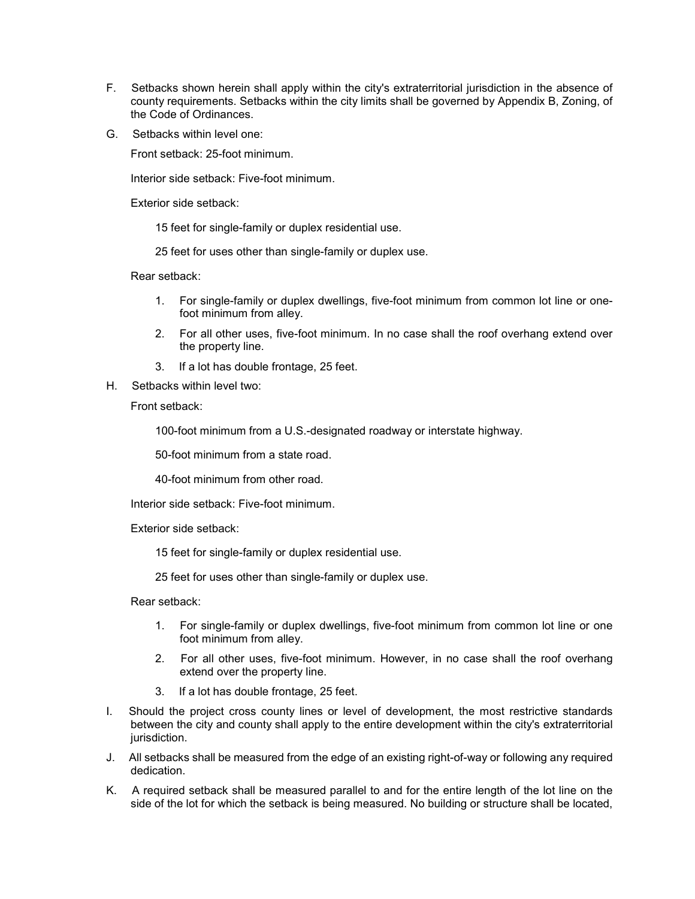- F. Setbacks shown herein shall apply within the city's extraterritorial jurisdiction in the absence of county requirements. Setbacks within the city limits shall be governed by Appendix B, Zoning, of the Code of Ordinances.
- G. Setbacks within level one:

Front setback: 25-foot minimum.

Interior side setback: Five-foot minimum.

Exterior side setback:

15 feet for single-family or duplex residential use.

25 feet for uses other than single-family or duplex use.

Rear setback:

- 1. For single-family or duplex dwellings, five-foot minimum from common lot line or onefoot minimum from alley.
- 2. For all other uses, five-foot minimum. In no case shall the roof overhang extend over the property line.
- 3. If a lot has double frontage, 25 feet.
- H. Setbacks within level two:

Front setback:

100-foot minimum from a U.S.-designated roadway or interstate highway.

50-foot minimum from a state road.

40-foot minimum from other road.

Interior side setback: Five-foot minimum.

Exterior side setback:

15 feet for single-family or duplex residential use.

25 feet for uses other than single-family or duplex use.

Rear setback:

- 1. For single-family or duplex dwellings, five-foot minimum from common lot line or one foot minimum from alley.
- 2. For all other uses, five-foot minimum. However, in no case shall the roof overhang extend over the property line.
- 3. If a lot has double frontage, 25 feet.
- I. Should the project cross county lines or level of development, the most restrictive standards between the city and county shall apply to the entire development within the city's extraterritorial jurisdiction.
- J. All setbacks shall be measured from the edge of an existing right-of-way or following any required dedication.
- K. A required setback shall be measured parallel to and for the entire length of the lot line on the side of the lot for which the setback is being measured. No building or structure shall be located,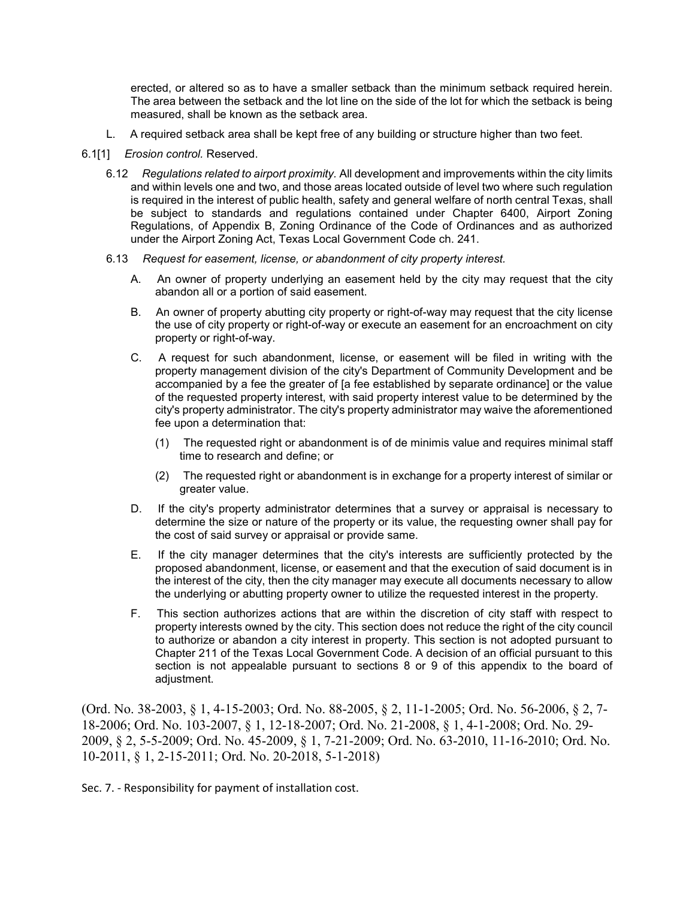erected, or altered so as to have a smaller setback than the minimum setback required herein. The area between the setback and the lot line on the side of the lot for which the setback is being measured, shall be known as the setback area.

- L. A required setback area shall be kept free of any building or structure higher than two feet.
- 6.1[1] *Erosion control.* Reserved.
	- 6.12 *Regulations related to airport proximity.* All development and improvements within the city limits and within levels one and two, and those areas located outside of level two where such regulation is required in the interest of public health, safety and general welfare of north central Texas, shall be subject to standards and regulations contained under Chapter 6400, Airport Zoning Regulations, of Appendix B, Zoning Ordinance of the Code of Ordinances and as authorized under the Airport Zoning Act, Texas Local Government Code ch. 241.
	- 6.13 *Request for easement, license, or abandonment of city property interest.*
		- A. An owner of property underlying an easement held by the city may request that the city abandon all or a portion of said easement.
		- B. An owner of property abutting city property or right-of-way may request that the city license the use of city property or right-of-way or execute an easement for an encroachment on city property or right-of-way.
		- C. A request for such abandonment, license, or easement will be filed in writing with the property management division of the city's Department of Community Development and be accompanied by a fee the greater of [a fee established by separate ordinance] or the value of the requested property interest, with said property interest value to be determined by the city's property administrator. The city's property administrator may waive the aforementioned fee upon a determination that:
			- (1) The requested right or abandonment is of de minimis value and requires minimal staff time to research and define; or
			- (2) The requested right or abandonment is in exchange for a property interest of similar or greater value.
		- D. If the city's property administrator determines that a survey or appraisal is necessary to determine the size or nature of the property or its value, the requesting owner shall pay for the cost of said survey or appraisal or provide same.
		- E. If the city manager determines that the city's interests are sufficiently protected by the proposed abandonment, license, or easement and that the execution of said document is in the interest of the city, then the city manager may execute all documents necessary to allow the underlying or abutting property owner to utilize the requested interest in the property.
		- F. This section authorizes actions that are within the discretion of city staff with respect to property interests owned by the city. This section does not reduce the right of the city council to authorize or abandon a city interest in property. This section is not adopted pursuant to Chapter 211 of the Texas Local Government Code. A decision of an official pursuant to this section is not appealable pursuant to sections 8 or 9 of this appendix to the board of adjustment.

(Ord. No. 38-2003, § 1, 4-15-2003; Ord. No. 88-2005, § 2, 11-1-2005; Ord. No. 56-2006, § 2, 7- 18-2006; Ord. No. 103-2007, § 1, 12-18-2007; Ord. No. 21-2008, § 1, 4-1-2008; Ord. No. 29- 2009, § 2, 5-5-2009; Ord. No. 45-2009, § 1, 7-21-2009; Ord. No. 63-2010, 11-16-2010; Ord. No. 10-2011, § 1, 2-15-2011; Ord. No. 20-2018, 5-1-2018)

Sec. 7. - Responsibility for payment of installation cost.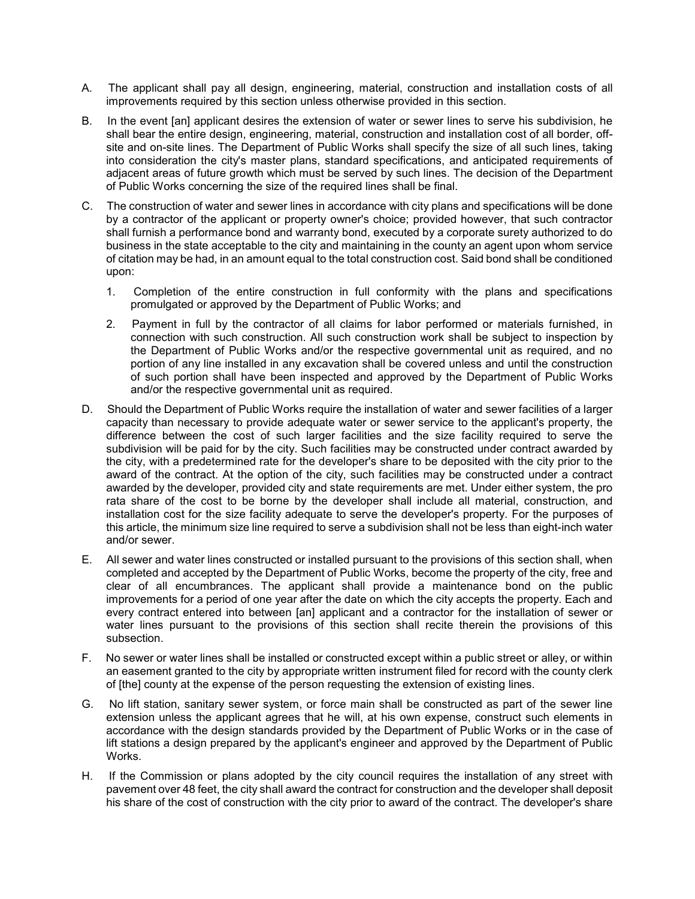- A. The applicant shall pay all design, engineering, material, construction and installation costs of all improvements required by this section unless otherwise provided in this section.
- B. In the event [an] applicant desires the extension of water or sewer lines to serve his subdivision, he shall bear the entire design, engineering, material, construction and installation cost of all border, offsite and on-site lines. The Department of Public Works shall specify the size of all such lines, taking into consideration the city's master plans, standard specifications, and anticipated requirements of adjacent areas of future growth which must be served by such lines. The decision of the Department of Public Works concerning the size of the required lines shall be final.
- C. The construction of water and sewer lines in accordance with city plans and specifications will be done by a contractor of the applicant or property owner's choice; provided however, that such contractor shall furnish a performance bond and warranty bond, executed by a corporate surety authorized to do business in the state acceptable to the city and maintaining in the county an agent upon whom service of citation may be had, in an amount equal to the total construction cost. Said bond shall be conditioned upon:
	- 1. Completion of the entire construction in full conformity with the plans and specifications promulgated or approved by the Department of Public Works; and
	- 2. Payment in full by the contractor of all claims for labor performed or materials furnished, in connection with such construction. All such construction work shall be subject to inspection by the Department of Public Works and/or the respective governmental unit as required, and no portion of any line installed in any excavation shall be covered unless and until the construction of such portion shall have been inspected and approved by the Department of Public Works and/or the respective governmental unit as required.
- D. Should the Department of Public Works require the installation of water and sewer facilities of a larger capacity than necessary to provide adequate water or sewer service to the applicant's property, the difference between the cost of such larger facilities and the size facility required to serve the subdivision will be paid for by the city. Such facilities may be constructed under contract awarded by the city, with a predetermined rate for the developer's share to be deposited with the city prior to the award of the contract. At the option of the city, such facilities may be constructed under a contract awarded by the developer, provided city and state requirements are met. Under either system, the pro rata share of the cost to be borne by the developer shall include all material, construction, and installation cost for the size facility adequate to serve the developer's property. For the purposes of this article, the minimum size line required to serve a subdivision shall not be less than eight-inch water and/or sewer.
- E. All sewer and water lines constructed or installed pursuant to the provisions of this section shall, when completed and accepted by the Department of Public Works, become the property of the city, free and clear of all encumbrances. The applicant shall provide a maintenance bond on the public improvements for a period of one year after the date on which the city accepts the property. Each and every contract entered into between [an] applicant and a contractor for the installation of sewer or water lines pursuant to the provisions of this section shall recite therein the provisions of this subsection.
- F. No sewer or water lines shall be installed or constructed except within a public street or alley, or within an easement granted to the city by appropriate written instrument filed for record with the county clerk of [the] county at the expense of the person requesting the extension of existing lines.
- G. No lift station, sanitary sewer system, or force main shall be constructed as part of the sewer line extension unless the applicant agrees that he will, at his own expense, construct such elements in accordance with the design standards provided by the Department of Public Works or in the case of lift stations a design prepared by the applicant's engineer and approved by the Department of Public Works.
- H. If the Commission or plans adopted by the city council requires the installation of any street with pavement over 48 feet, the city shall award the contract for construction and the developer shall deposit his share of the cost of construction with the city prior to award of the contract. The developer's share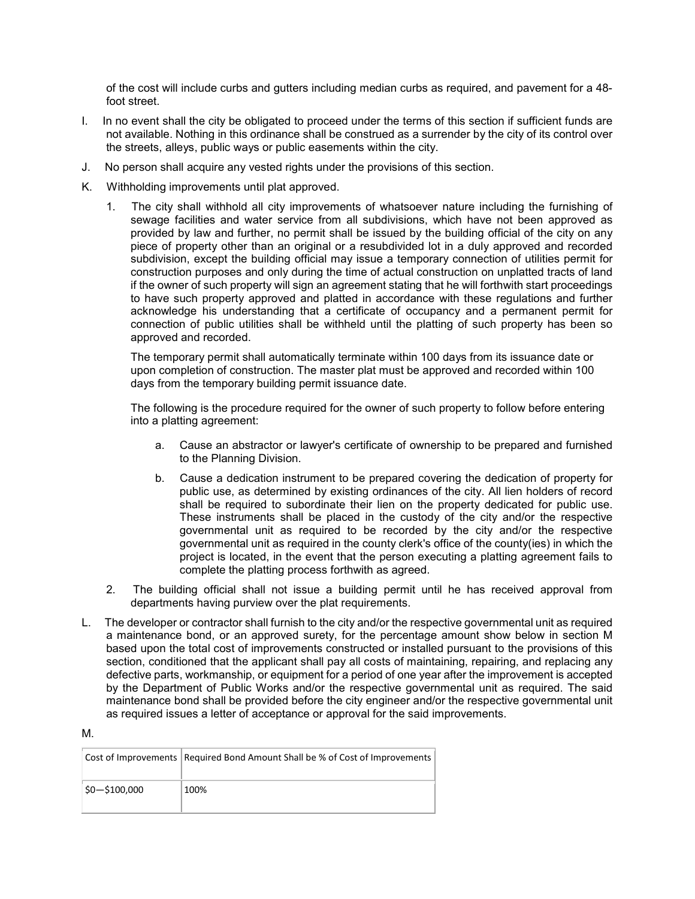of the cost will include curbs and gutters including median curbs as required, and pavement for a 48 foot street.

- I. In no event shall the city be obligated to proceed under the terms of this section if sufficient funds are not available. Nothing in this ordinance shall be construed as a surrender by the city of its control over the streets, alleys, public ways or public easements within the city.
- J. No person shall acquire any vested rights under the provisions of this section.
- K. Withholding improvements until plat approved.
	- 1. The city shall withhold all city improvements of whatsoever nature including the furnishing of sewage facilities and water service from all subdivisions, which have not been approved as provided by law and further, no permit shall be issued by the building official of the city on any piece of property other than an original or a resubdivided lot in a duly approved and recorded subdivision, except the building official may issue a temporary connection of utilities permit for construction purposes and only during the time of actual construction on unplatted tracts of land if the owner of such property will sign an agreement stating that he will forthwith start proceedings to have such property approved and platted in accordance with these regulations and further acknowledge his understanding that a certificate of occupancy and a permanent permit for connection of public utilities shall be withheld until the platting of such property has been so approved and recorded.

The temporary permit shall automatically terminate within 100 days from its issuance date or upon completion of construction. The master plat must be approved and recorded within 100 days from the temporary building permit issuance date.

The following is the procedure required for the owner of such property to follow before entering into a platting agreement:

- a. Cause an abstractor or lawyer's certificate of ownership to be prepared and furnished to the Planning Division.
- b. Cause a dedication instrument to be prepared covering the dedication of property for public use, as determined by existing ordinances of the city. All lien holders of record shall be required to subordinate their lien on the property dedicated for public use. These instruments shall be placed in the custody of the city and/or the respective governmental unit as required to be recorded by the city and/or the respective governmental unit as required in the county clerk's office of the county(ies) in which the project is located, in the event that the person executing a platting agreement fails to complete the platting process forthwith as agreed.
- 2. The building official shall not issue a building permit until he has received approval from departments having purview over the plat requirements.
- L. The developer or contractor shall furnish to the city and/or the respective governmental unit as required a maintenance bond, or an approved surety, for the percentage amount show below in section M based upon the total cost of improvements constructed or installed pursuant to the provisions of this section, conditioned that the applicant shall pay all costs of maintaining, repairing, and replacing any defective parts, workmanship, or equipment for a period of one year after the improvement is accepted by the Department of Public Works and/or the respective governmental unit as required. The said maintenance bond shall be provided before the city engineer and/or the respective governmental unit as required issues a letter of acceptance or approval for the said improvements.

|--|--|

|                   | Cost of Improvements   Required Bond Amount Shall be % of Cost of Improvements |
|-------------------|--------------------------------------------------------------------------------|
| $ 50 - 5100,000 $ | 100%                                                                           |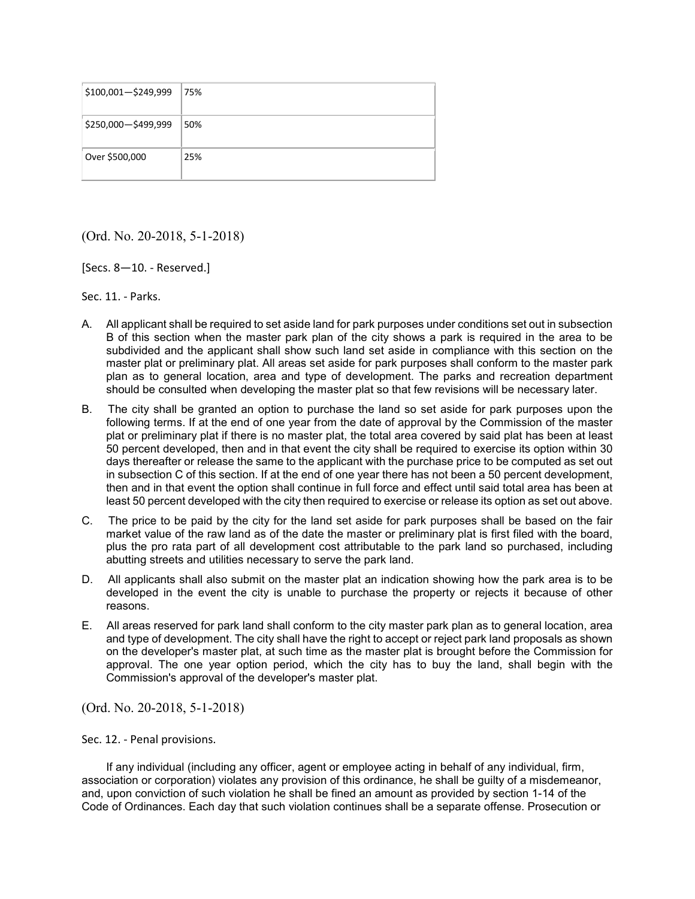| \$100,001-\$249,999 | 75% |
|---------------------|-----|
| \$250,000-\$499,999 | 50% |
| Over \$500,000      | 25% |

(Ord. No. 20-2018, 5-1-2018)

[Secs. 8—10. - Reserved.]

Sec. 11. - Parks.

- A. All applicant shall be required to set aside land for park purposes under conditions set out in subsection B of this section when the master park plan of the city shows a park is required in the area to be subdivided and the applicant shall show such land set aside in compliance with this section on the master plat or preliminary plat. All areas set aside for park purposes shall conform to the master park plan as to general location, area and type of development. The parks and recreation department should be consulted when developing the master plat so that few revisions will be necessary later.
- B. The city shall be granted an option to purchase the land so set aside for park purposes upon the following terms. If at the end of one year from the date of approval by the Commission of the master plat or preliminary plat if there is no master plat, the total area covered by said plat has been at least 50 percent developed, then and in that event the city shall be required to exercise its option within 30 days thereafter or release the same to the applicant with the purchase price to be computed as set out in subsection C of this section. If at the end of one year there has not been a 50 percent development, then and in that event the option shall continue in full force and effect until said total area has been at least 50 percent developed with the city then required to exercise or release its option as set out above.
- C. The price to be paid by the city for the land set aside for park purposes shall be based on the fair market value of the raw land as of the date the master or preliminary plat is first filed with the board, plus the pro rata part of all development cost attributable to the park land so purchased, including abutting streets and utilities necessary to serve the park land.
- D. All applicants shall also submit on the master plat an indication showing how the park area is to be developed in the event the city is unable to purchase the property or rejects it because of other reasons.
- E. All areas reserved for park land shall conform to the city master park plan as to general location, area and type of development. The city shall have the right to accept or reject park land proposals as shown on the developer's master plat, at such time as the master plat is brought before the Commission for approval. The one year option period, which the city has to buy the land, shall begin with the Commission's approval of the developer's master plat.

(Ord. No. 20-2018, 5-1-2018)

Sec. 12. - Penal provisions.

If any individual (including any officer, agent or employee acting in behalf of any individual, firm, association or corporation) violates any provision of this ordinance, he shall be guilty of a misdemeanor, and, upon conviction of such violation he shall be fined an amount as provided by section 1-14 of the Code of Ordinances. Each day that such violation continues shall be a separate offense. Prosecution or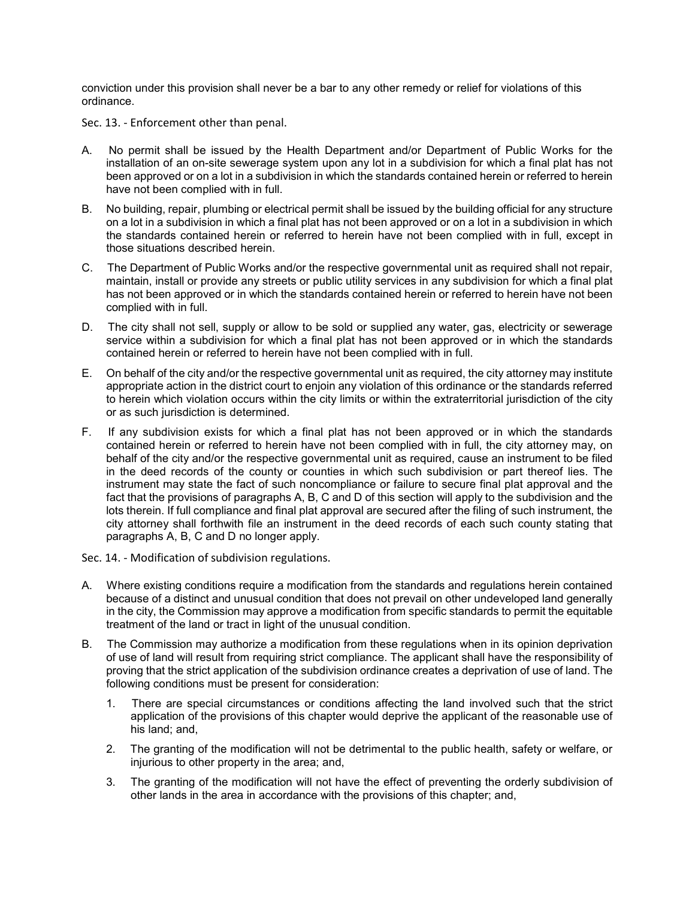conviction under this provision shall never be a bar to any other remedy or relief for violations of this ordinance.

Sec. 13. - Enforcement other than penal.

- A. No permit shall be issued by the Health Department and/or Department of Public Works for the installation of an on-site sewerage system upon any lot in a subdivision for which a final plat has not been approved or on a lot in a subdivision in which the standards contained herein or referred to herein have not been complied with in full.
- B. No building, repair, plumbing or electrical permit shall be issued by the building official for any structure on a lot in a subdivision in which a final plat has not been approved or on a lot in a subdivision in which the standards contained herein or referred to herein have not been complied with in full, except in those situations described herein.
- C. The Department of Public Works and/or the respective governmental unit as required shall not repair, maintain, install or provide any streets or public utility services in any subdivision for which a final plat has not been approved or in which the standards contained herein or referred to herein have not been complied with in full.
- D. The city shall not sell, supply or allow to be sold or supplied any water, gas, electricity or sewerage service within a subdivision for which a final plat has not been approved or in which the standards contained herein or referred to herein have not been complied with in full.
- E. On behalf of the city and/or the respective governmental unit as required, the city attorney may institute appropriate action in the district court to enjoin any violation of this ordinance or the standards referred to herein which violation occurs within the city limits or within the extraterritorial jurisdiction of the city or as such jurisdiction is determined.
- F. If any subdivision exists for which a final plat has not been approved or in which the standards contained herein or referred to herein have not been complied with in full, the city attorney may, on behalf of the city and/or the respective governmental unit as required, cause an instrument to be filed in the deed records of the county or counties in which such subdivision or part thereof lies. The instrument may state the fact of such noncompliance or failure to secure final plat approval and the fact that the provisions of paragraphs A, B, C and D of this section will apply to the subdivision and the lots therein. If full compliance and final plat approval are secured after the filing of such instrument, the city attorney shall forthwith file an instrument in the deed records of each such county stating that paragraphs A, B, C and D no longer apply.
- Sec. 14. Modification of subdivision regulations.
- A. Where existing conditions require a modification from the standards and regulations herein contained because of a distinct and unusual condition that does not prevail on other undeveloped land generally in the city, the Commission may approve a modification from specific standards to permit the equitable treatment of the land or tract in light of the unusual condition.
- B. The Commission may authorize a modification from these regulations when in its opinion deprivation of use of land will result from requiring strict compliance. The applicant shall have the responsibility of proving that the strict application of the subdivision ordinance creates a deprivation of use of land. The following conditions must be present for consideration:
	- 1. There are special circumstances or conditions affecting the land involved such that the strict application of the provisions of this chapter would deprive the applicant of the reasonable use of his land; and,
	- 2. The granting of the modification will not be detrimental to the public health, safety or welfare, or injurious to other property in the area; and,
	- 3. The granting of the modification will not have the effect of preventing the orderly subdivision of other lands in the area in accordance with the provisions of this chapter; and,